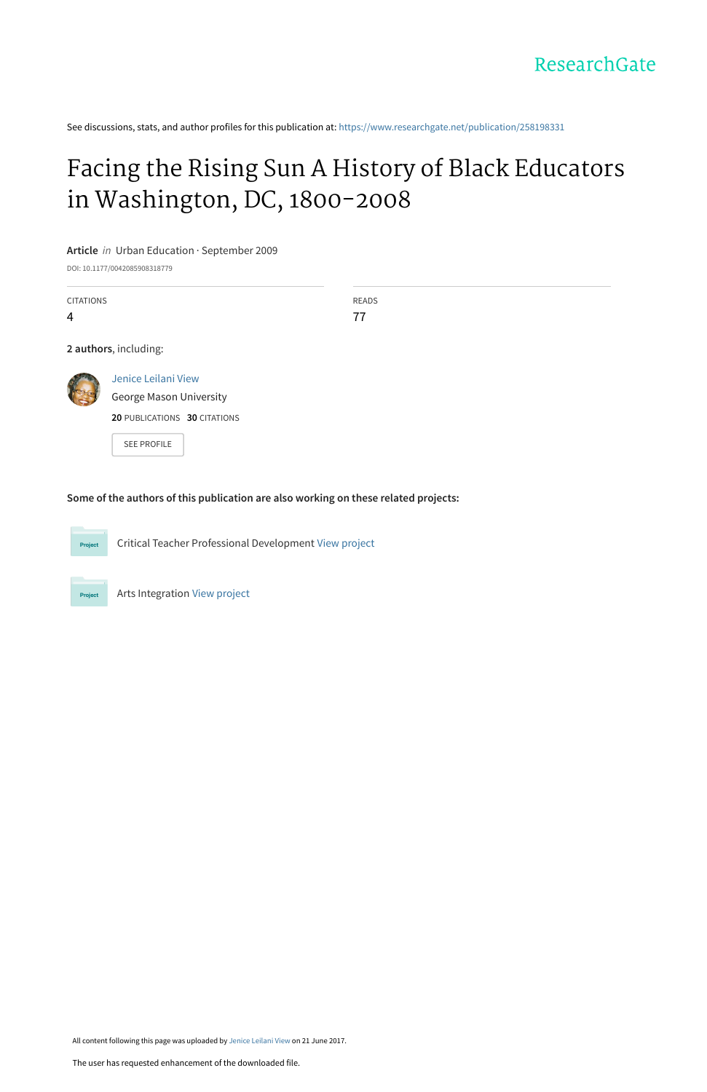See discussions, stats, and author profiles for this publication at: [https://www.researchgate.net/publication/258198331](https://www.researchgate.net/publication/258198331_Facing_the_Rising_Sun_A_History_of_Black_Educators_in_Washington_DC_1800-2008?enrichId=rgreq-8d67d0ae46ac0fb0c008101baee2d12c-XXX&enrichSource=Y292ZXJQYWdlOzI1ODE5ODMzMTtBUzo1MDc3MTg0NDAzMDg3MzZAMTQ5ODA2MDkxNzkzOQ%3D%3D&el=1_x_2&_esc=publicationCoverPdf)

# [Facing the Rising Sun A History of Black Educators](https://www.researchgate.net/publication/258198331_Facing_the_Rising_Sun_A_History_of_Black_Educators_in_Washington_DC_1800-2008?enrichId=rgreq-8d67d0ae46ac0fb0c008101baee2d12c-XXX&enrichSource=Y292ZXJQYWdlOzI1ODE5ODMzMTtBUzo1MDc3MTg0NDAzMDg3MzZAMTQ5ODA2MDkxNzkzOQ%3D%3D&el=1_x_3&_esc=publicationCoverPdf) in Washington, DC, 1800-2008

**Article** in Urban Education · September 2009

DOI: 10.1177/0042085908318779

| <b>CITATIONS</b> |                                                                                               | <b>READS</b> |  |
|------------------|-----------------------------------------------------------------------------------------------|--------------|--|
| 4                |                                                                                               | 77           |  |
|                  | 2 authors, including:                                                                         |              |  |
|                  | Jenice Leilani View<br>George Mason University<br>20 PUBLICATIONS 30 CITATIONS<br>SEE PROFILE |              |  |
|                  |                                                                                               |              |  |
|                  |                                                                                               |              |  |

**Some of the authors of this publication are also working on these related projects:**



Critical Teacher Professional Development [View project](https://www.researchgate.net/project/Critical-Teacher-Professional-Development?enrichId=rgreq-8d67d0ae46ac0fb0c008101baee2d12c-XXX&enrichSource=Y292ZXJQYWdlOzI1ODE5ODMzMTtBUzo1MDc3MTg0NDAzMDg3MzZAMTQ5ODA2MDkxNzkzOQ%3D%3D&el=1_x_9&_esc=publicationCoverPdf)



Arts Integration [View project](https://www.researchgate.net/project/Arts-Integration-2?enrichId=rgreq-8d67d0ae46ac0fb0c008101baee2d12c-XXX&enrichSource=Y292ZXJQYWdlOzI1ODE5ODMzMTtBUzo1MDc3MTg0NDAzMDg3MzZAMTQ5ODA2MDkxNzkzOQ%3D%3D&el=1_x_9&_esc=publicationCoverPdf)

All content following this page was uploaded by [Jenice Leilani View](https://www.researchgate.net/profile/Jenice_View?enrichId=rgreq-8d67d0ae46ac0fb0c008101baee2d12c-XXX&enrichSource=Y292ZXJQYWdlOzI1ODE5ODMzMTtBUzo1MDc3MTg0NDAzMDg3MzZAMTQ5ODA2MDkxNzkzOQ%3D%3D&el=1_x_10&_esc=publicationCoverPdf) on 21 June 2017.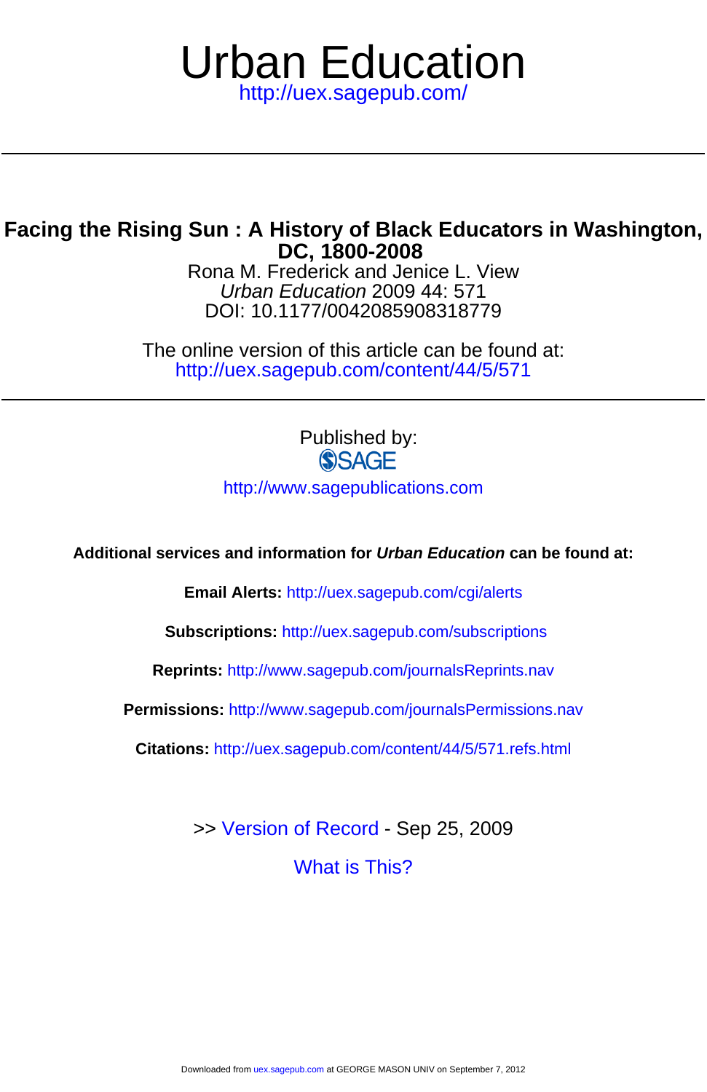# <http://uex.sagepub.com/> Urban Education

# **DC, 1800-2008 Facing the Rising Sun : A History of Black Educators in Washington,**

DOI: 10.1177/0042085908318779 Urban Education 2009 44: 571 Rona M. Frederick and Jenice L. View

<http://uex.sagepub.com/content/44/5/571> The online version of this article can be found at:

Published by:<br>
SAGE

<http://www.sagepublications.com>

**Additional services and information for Urban Education can be found at:**

**Email Alerts:** <http://uex.sagepub.com/cgi/alerts>

**Subscriptions:** <http://uex.sagepub.com/subscriptions>

**Reprints:** <http://www.sagepub.com/journalsReprints.nav>

**Permissions:** <http://www.sagepub.com/journalsPermissions.nav>

**Citations:** <http://uex.sagepub.com/content/44/5/571.refs.html>

>> [Version of Record -](http://uex.sagepub.com/content/44/5/571.full.pdf) Sep 25, 2009

[What is This?](http://online.sagepub.com/site/sphelp/vorhelp.xhtml)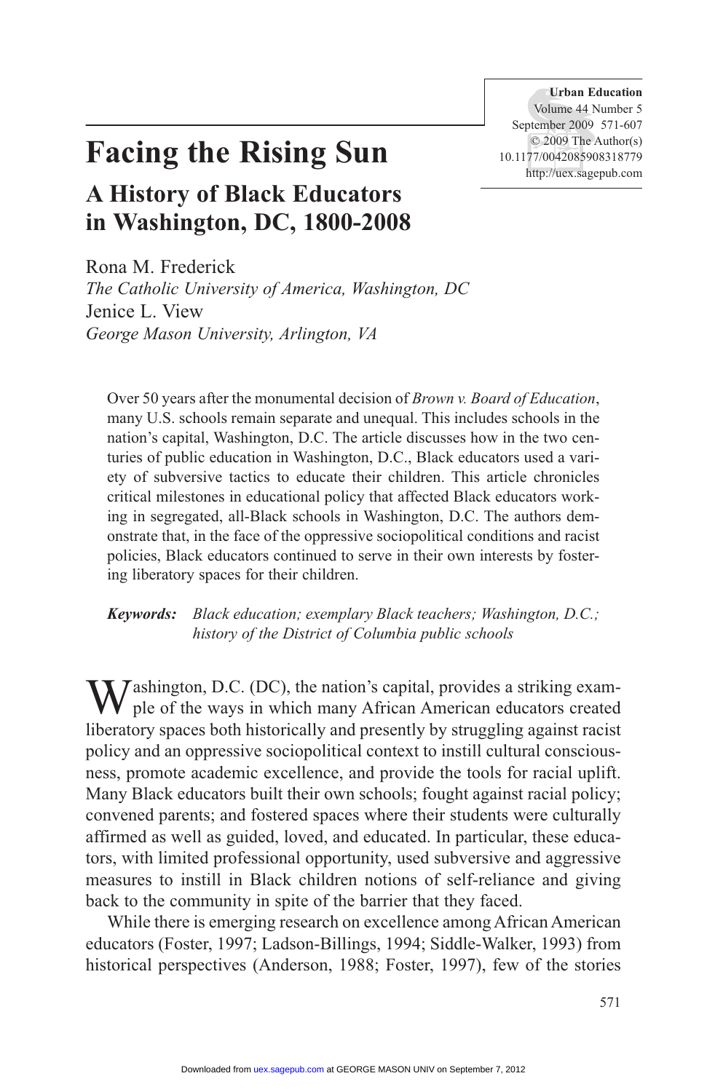#### **Urban Education** Volume 44 Number 5 September 2009 571-607 © 2009 The Author(s) 10.1177/0042085908318779 http://uex.sagepub.com

# **Facing the Rising Sun**

# **A History of Black Educators in Washington, DC, 1800-2008**

Rona M. Frederick *The Catholic University of America, Washington, DC* Jenice L. View *George Mason University, Arlington, VA*

Over 50 years after the monumental decision of *Brown v. Board of Education*, many U.S. schools remain separate and unequal. This includes schools in the nation's capital, Washington, D.C. The article discusses how in the two centuries of public education in Washington, D.C., Black educators used a variety of subversive tactics to educate their children. This article chronicles critical milestones in educational policy that affected Black educators working in segregated, all-Black schools in Washington, D.C. The authors demonstrate that, in the face of the oppressive sociopolitical conditions and racist policies, Black educators continued to serve in their own interests by fostering liberatory spaces for their children.

*Keywords: Black education; exemplary Black teachers; Washington, D.C.; history of the District of Columbia public schools*

 $\sum$  *J* ashington, D.C. (DC), the nation's capital, provides a striking example of the ways in which many African American educators created liberatory spaces both historically and presently by struggling against racist policy and an oppressive sociopolitical context to instill cultural consciousness, promote academic excellence, and provide the tools for racial uplift. Many Black educators built their own schools; fought against racial policy; convened parents; and fostered spaces where their students were culturally affirmed as well as guided, loved, and educated. In particular, these educators, with limited professional opportunity, used subversive and aggressive measures to instill in Black children notions of self-reliance and giving back to the community in spite of the barrier that they faced.

While there is emerging research on excellence among African American educators (Foster, 1997; Ladson-Billings, 1994; Siddle-Walker, 1993) from historical perspectives (Anderson, 1988; Foster, 1997), few of the stories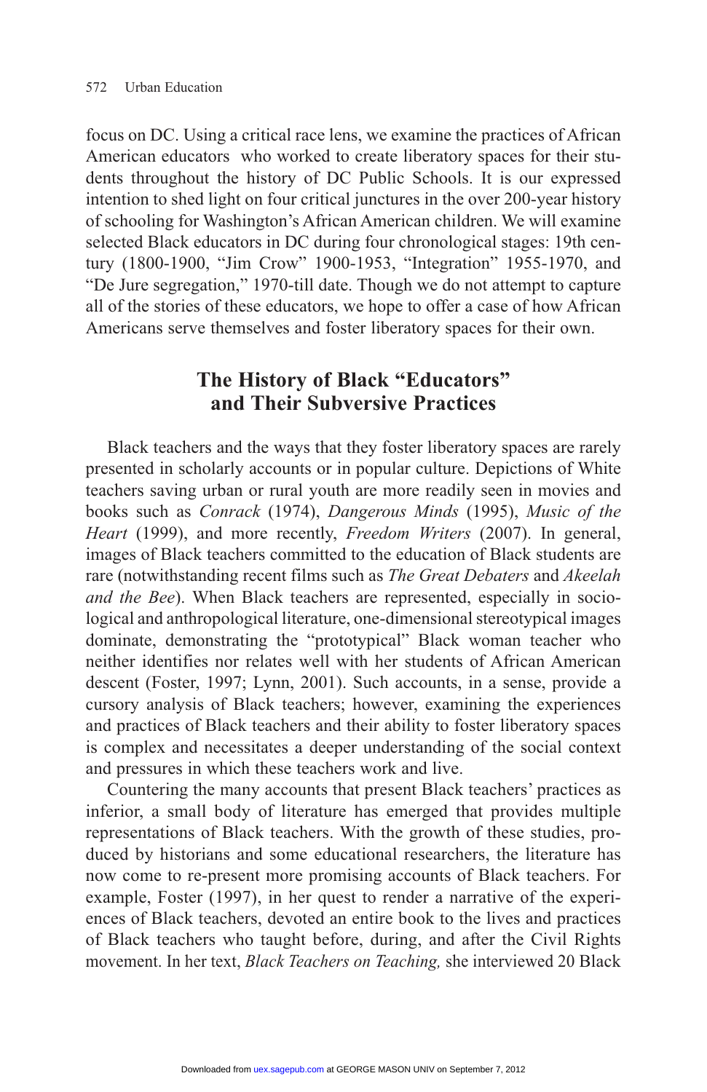focus on DC. Using a critical race lens, we examine the practices of African American educators who worked to create liberatory spaces for their students throughout the history of DC Public Schools. It is our expressed intention to shed light on four critical junctures in the over 200-year history of schooling for Washington's African American children. We will examine selected Black educators in DC during four chronological stages: 19th century (1800-1900, "Jim Crow" 1900-1953, "Integration" 1955-1970, and "De Jure segregation," 1970-till date. Though we do not attempt to capture all of the stories of these educators, we hope to offer a case of how African Americans serve themselves and foster liberatory spaces for their own.

# **The History of Black "Educators" and Their Subversive Practices**

Black teachers and the ways that they foster liberatory spaces are rarely presented in scholarly accounts or in popular culture. Depictions of White teachers saving urban or rural youth are more readily seen in movies and books such as *Conrack* (1974), *Dangerous Minds* (1995), *Music of the Heart* (1999), and more recently, *Freedom Writers* (2007). In general, images of Black teachers committed to the education of Black students are rare (notwithstanding recent films such as *The Great Debaters* and *Akeelah and the Bee*). When Black teachers are represented, especially in sociological and anthropological literature, one-dimensional stereotypical images dominate, demonstrating the "prototypical" Black woman teacher who neither identifies nor relates well with her students of African American descent (Foster, 1997; Lynn, 2001). Such accounts, in a sense, provide a cursory analysis of Black teachers; however, examining the experiences and practices of Black teachers and their ability to foster liberatory spaces is complex and necessitates a deeper understanding of the social context and pressures in which these teachers work and live.

Countering the many accounts that present Black teachers' practices as inferior, a small body of literature has emerged that provides multiple representations of Black teachers. With the growth of these studies, produced by historians and some educational researchers, the literature has now come to re-present more promising accounts of Black teachers. For example, Foster (1997), in her quest to render a narrative of the experiences of Black teachers, devoted an entire book to the lives and practices of Black teachers who taught before, during, and after the Civil Rights movement. In her text, *Black Teachers on Teaching,* she interviewed 20 Black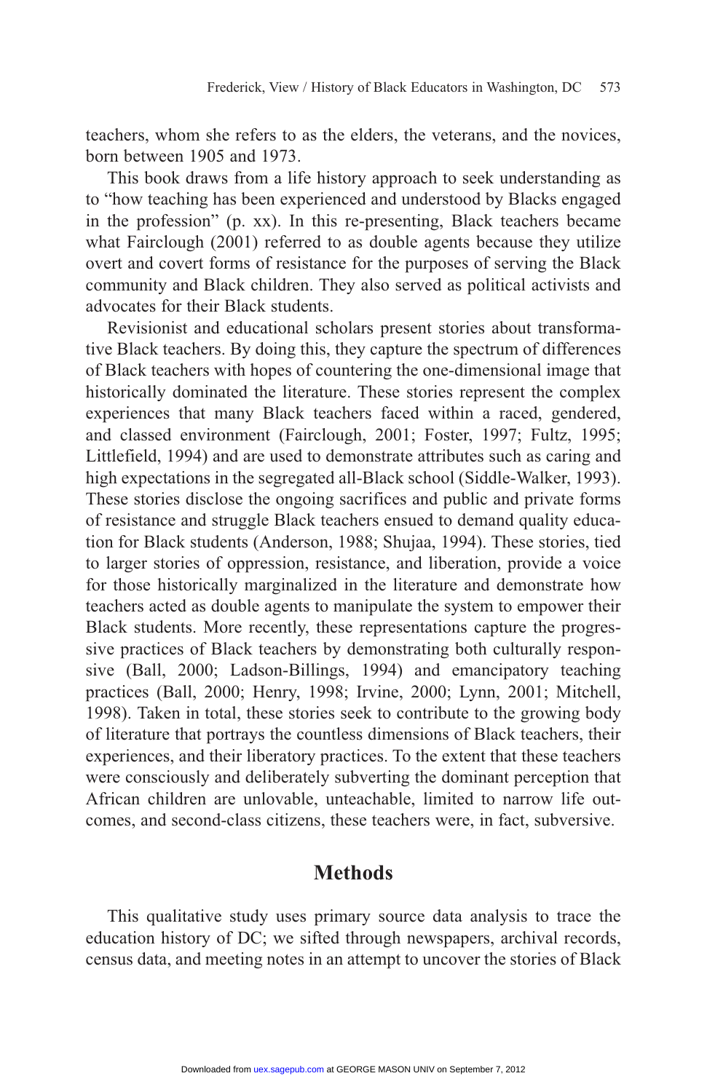teachers, whom she refers to as the elders, the veterans, and the novices, born between 1905 and 1973.

This book draws from a life history approach to seek understanding as to "how teaching has been experienced and understood by Blacks engaged in the profession" (p. xx). In this re-presenting, Black teachers became what Fairclough (2001) referred to as double agents because they utilize overt and covert forms of resistance for the purposes of serving the Black community and Black children. They also served as political activists and advocates for their Black students.

Revisionist and educational scholars present stories about transformative Black teachers. By doing this, they capture the spectrum of differences of Black teachers with hopes of countering the one-dimensional image that historically dominated the literature. These stories represent the complex experiences that many Black teachers faced within a raced, gendered, and classed environment (Fairclough, 2001; Foster, 1997; Fultz, 1995; Littlefield, 1994) and are used to demonstrate attributes such as caring and high expectations in the segregated all-Black school (Siddle-Walker, 1993). These stories disclose the ongoing sacrifices and public and private forms of resistance and struggle Black teachers ensued to demand quality education for Black students (Anderson, 1988; Shujaa, 1994). These stories, tied to larger stories of oppression, resistance, and liberation, provide a voice for those historically marginalized in the literature and demonstrate how teachers acted as double agents to manipulate the system to empower their Black students. More recently, these representations capture the progressive practices of Black teachers by demonstrating both culturally responsive (Ball, 2000; Ladson-Billings, 1994) and emancipatory teaching practices (Ball, 2000; Henry, 1998; Irvine, 2000; Lynn, 2001; Mitchell, 1998). Taken in total, these stories seek to contribute to the growing body of literature that portrays the countless dimensions of Black teachers, their experiences, and their liberatory practices. To the extent that these teachers were consciously and deliberately subverting the dominant perception that African children are unlovable, unteachable, limited to narrow life outcomes, and second-class citizens, these teachers were, in fact, subversive.

#### **Methods**

This qualitative study uses primary source data analysis to trace the education history of DC; we sifted through newspapers, archival records, census data, and meeting notes in an attempt to uncover the stories of Black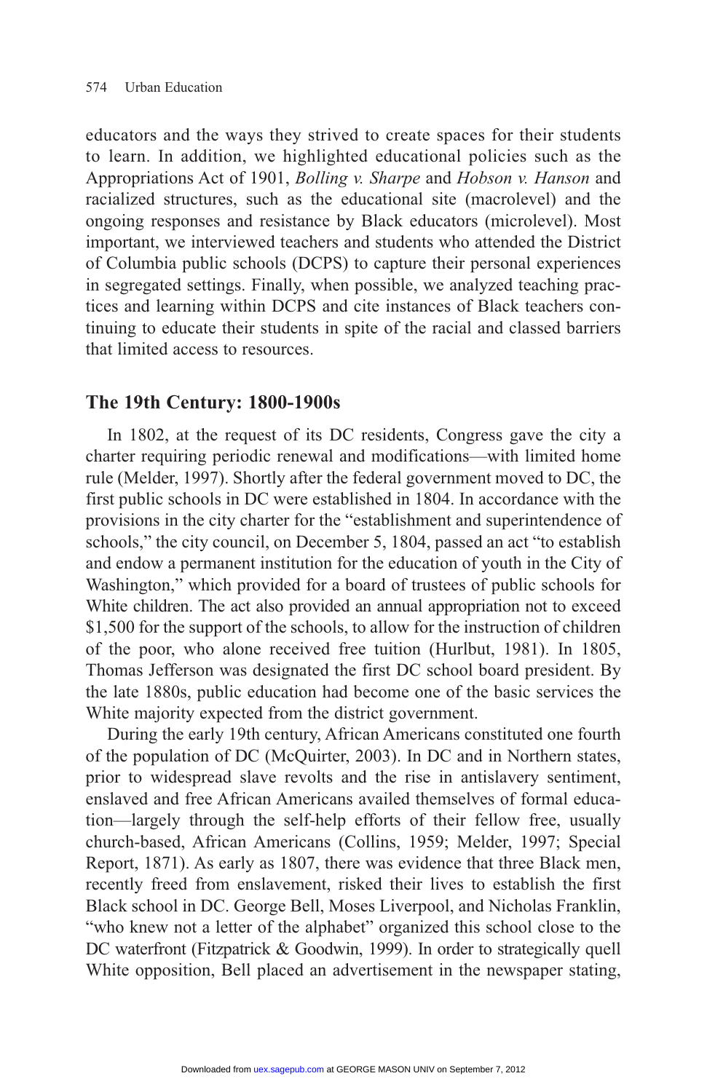educators and the ways they strived to create spaces for their students to learn. In addition, we highlighted educational policies such as the Appropriations Act of 1901, *Bolling v. Sharpe* and *Hobson v. Hanson* and racialized structures, such as the educational site (macrolevel) and the ongoing responses and resistance by Black educators (microlevel). Most important, we interviewed teachers and students who attended the District of Columbia public schools (DCPS) to capture their personal experiences in segregated settings. Finally, when possible, we analyzed teaching practices and learning within DCPS and cite instances of Black teachers continuing to educate their students in spite of the racial and classed barriers that limited access to resources.

#### **The 19th Century: 1800-1900s**

In 1802, at the request of its DC residents, Congress gave the city a charter requiring periodic renewal and modifications—with limited home rule (Melder, 1997). Shortly after the federal government moved to DC, the first public schools in DC were established in 1804. In accordance with the provisions in the city charter for the "establishment and superintendence of schools," the city council, on December 5, 1804, passed an act "to establish and endow a permanent institution for the education of youth in the City of Washington," which provided for a board of trustees of public schools for White children. The act also provided an annual appropriation not to exceed \$1,500 for the support of the schools, to allow for the instruction of children of the poor, who alone received free tuition (Hurlbut, 1981). In 1805, Thomas Jefferson was designated the first DC school board president. By the late 1880s, public education had become one of the basic services the White majority expected from the district government.

During the early 19th century, African Americans constituted one fourth of the population of DC (McQuirter, 2003). In DC and in Northern states, prior to widespread slave revolts and the rise in antislavery sentiment, enslaved and free African Americans availed themselves of formal education—largely through the self-help efforts of their fellow free, usually church-based, African Americans (Collins, 1959; Melder, 1997; Special Report, 1871). As early as 1807, there was evidence that three Black men, recently freed from enslavement, risked their lives to establish the first Black school in DC. George Bell, Moses Liverpool, and Nicholas Franklin, "who knew not a letter of the alphabet" organized this school close to the DC waterfront (Fitzpatrick & Goodwin, 1999). In order to strategically quell White opposition, Bell placed an advertisement in the newspaper stating,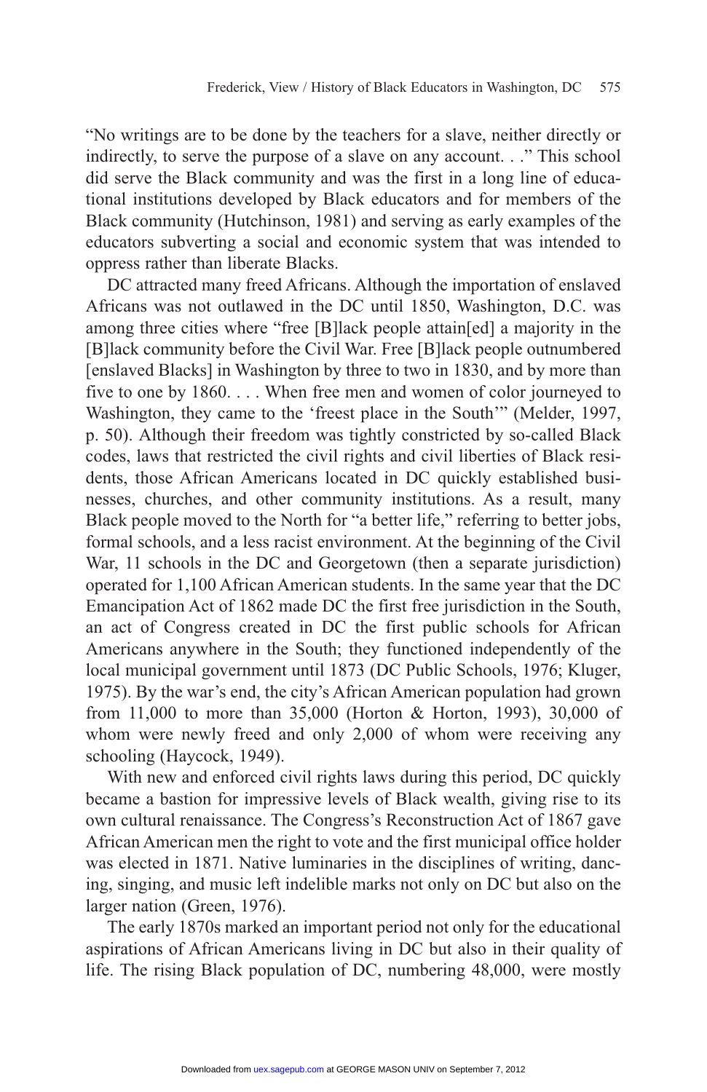"No writings are to be done by the teachers for a slave, neither directly or indirectly, to serve the purpose of a slave on any account. . ." This school did serve the Black community and was the first in a long line of educational institutions developed by Black educators and for members of the Black community (Hutchinson, 1981) and serving as early examples of the educators subverting a social and economic system that was intended to oppress rather than liberate Blacks.

DC attracted many freed Africans. Although the importation of enslaved Africans was not outlawed in the DC until 1850, Washington, D.C. was among three cities where "free [B]lack people attain[ed] a majority in the [B]lack community before the Civil War. Free [B]lack people outnumbered [enslaved Blacks] in Washington by three to two in 1830, and by more than five to one by 1860. . . . When free men and women of color journeyed to Washington, they came to the 'freest place in the South'" (Melder, 1997, p. 50). Although their freedom was tightly constricted by so-called Black codes, laws that restricted the civil rights and civil liberties of Black residents, those African Americans located in DC quickly established businesses, churches, and other community institutions. As a result, many Black people moved to the North for "a better life," referring to better jobs, formal schools, and a less racist environment. At the beginning of the Civil War, 11 schools in the DC and Georgetown (then a separate jurisdiction) operated for 1,100 African American students. In the same year that the DC Emancipation Act of 1862 made DC the first free jurisdiction in the South, an act of Congress created in DC the first public schools for African Americans anywhere in the South; they functioned independently of the local municipal government until 1873 (DC Public Schools, 1976; Kluger, 1975). By the war's end, the city's African American population had grown from 11,000 to more than 35,000 (Horton & Horton, 1993), 30,000 of whom were newly freed and only 2,000 of whom were receiving any schooling (Haycock, 1949).

With new and enforced civil rights laws during this period, DC quickly became a bastion for impressive levels of Black wealth, giving rise to its own cultural renaissance. The Congress's Reconstruction Act of 1867 gave African American men the right to vote and the first municipal office holder was elected in 1871. Native luminaries in the disciplines of writing, dancing, singing, and music left indelible marks not only on DC but also on the larger nation (Green, 1976).

The early 1870s marked an important period not only for the educational aspirations of African Americans living in DC but also in their quality of life. The rising Black population of DC, numbering 48,000, were mostly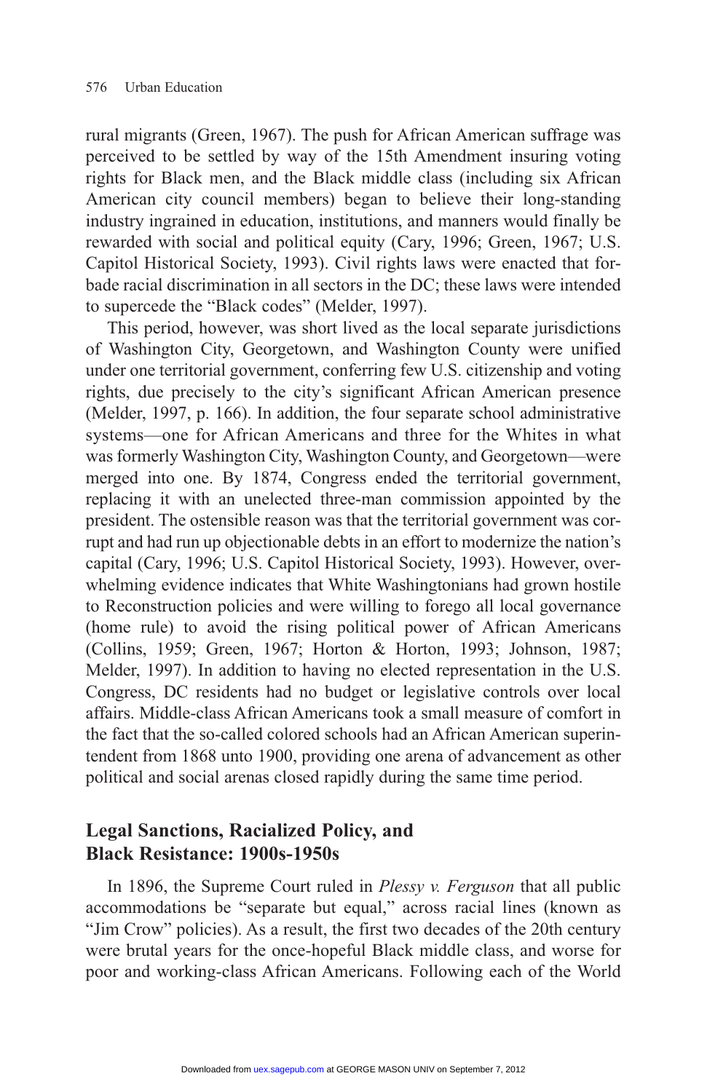rural migrants (Green, 1967). The push for African American suffrage was perceived to be settled by way of the 15th Amendment insuring voting rights for Black men, and the Black middle class (including six African American city council members) began to believe their long-standing industry ingrained in education, institutions, and manners would finally be rewarded with social and political equity (Cary, 1996; Green, 1967; U.S. Capitol Historical Society, 1993). Civil rights laws were enacted that forbade racial discrimination in all sectors in the DC; these laws were intended to supercede the "Black codes" (Melder, 1997).

This period, however, was short lived as the local separate jurisdictions of Washington City, Georgetown, and Washington County were unified under one territorial government, conferring few U.S. citizenship and voting rights, due precisely to the city's significant African American presence (Melder, 1997, p. 166). In addition, the four separate school administrative systems—one for African Americans and three for the Whites in what was formerly Washington City, Washington County, and Georgetown—were merged into one. By 1874, Congress ended the territorial government, replacing it with an unelected three-man commission appointed by the president. The ostensible reason was that the territorial government was corrupt and had run up objectionable debts in an effort to modernize the nation's capital (Cary, 1996; U.S. Capitol Historical Society, 1993). However, overwhelming evidence indicates that White Washingtonians had grown hostile to Reconstruction policies and were willing to forego all local governance (home rule) to avoid the rising political power of African Americans (Collins, 1959; Green, 1967; Horton & Horton, 1993; Johnson, 1987; Melder, 1997). In addition to having no elected representation in the U.S. Congress, DC residents had no budget or legislative controls over local affairs. Middle-class African Americans took a small measure of comfort in the fact that the so-called colored schools had an African American superintendent from 1868 unto 1900, providing one arena of advancement as other political and social arenas closed rapidly during the same time period.

## **Legal Sanctions, Racialized Policy, and Black Resistance: 1900s-1950s**

In 1896, the Supreme Court ruled in *Plessy v. Ferguson* that all public accommodations be "separate but equal," across racial lines (known as "Jim Crow" policies). As a result, the first two decades of the 20th century were brutal years for the once-hopeful Black middle class, and worse for poor and working-class African Americans. Following each of the World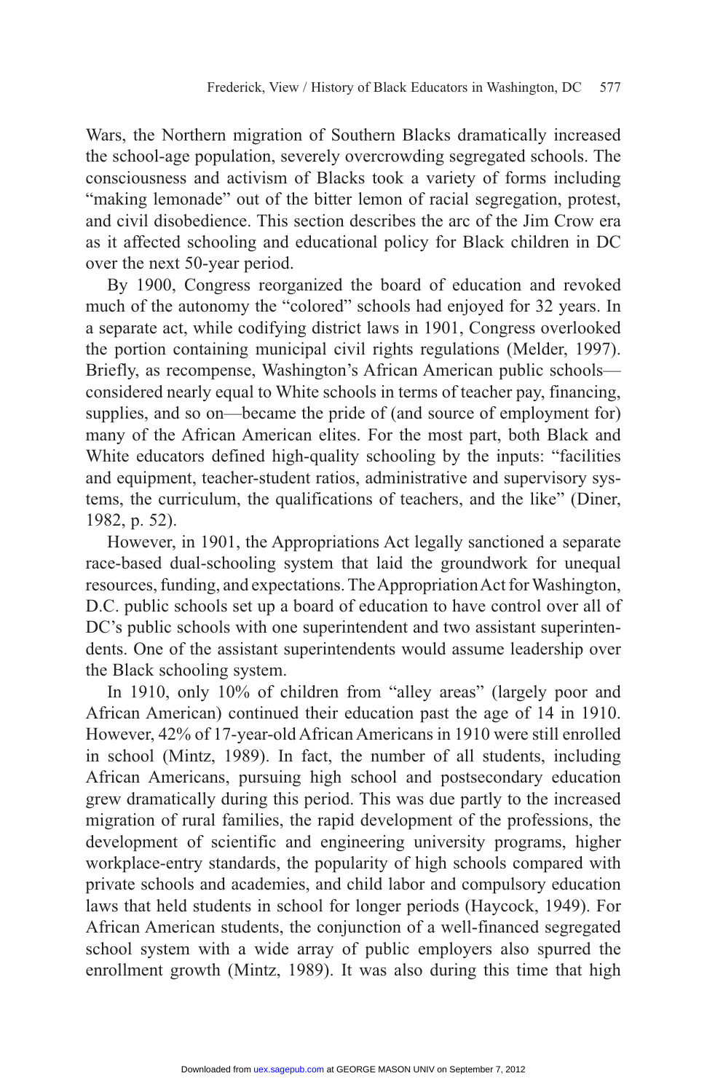Wars, the Northern migration of Southern Blacks dramatically increased the school-age population, severely overcrowding segregated schools. The consciousness and activism of Blacks took a variety of forms including "making lemonade" out of the bitter lemon of racial segregation, protest, and civil disobedience. This section describes the arc of the Jim Crow era as it affected schooling and educational policy for Black children in DC over the next 50-year period.

By 1900, Congress reorganized the board of education and revoked much of the autonomy the "colored" schools had enjoyed for 32 years. In a separate act, while codifying district laws in 1901, Congress overlooked the portion containing municipal civil rights regulations (Melder, 1997). Briefly, as recompense, Washington's African American public schools considered nearly equal to White schools in terms of teacher pay, financing, supplies, and so on—became the pride of (and source of employment for) many of the African American elites. For the most part, both Black and White educators defined high-quality schooling by the inputs: "facilities and equipment, teacher-student ratios, administrative and supervisory systems, the curriculum, the qualifications of teachers, and the like" (Diner, 1982, p. 52).

However, in 1901, the Appropriations Act legally sanctioned a separate race-based dual-schooling system that laid the groundwork for unequal resources, funding, and expectations. The Appropriation Act for Washington, D.C. public schools set up a board of education to have control over all of DC's public schools with one superintendent and two assistant superintendents. One of the assistant superintendents would assume leadership over the Black schooling system.

In 1910, only 10% of children from "alley areas" (largely poor and African American) continued their education past the age of 14 in 1910. However, 42% of 17-year-old African Americans in 1910 were still enrolled in school (Mintz, 1989). In fact, the number of all students, including African Americans, pursuing high school and postsecondary education grew dramatically during this period. This was due partly to the increased migration of rural families, the rapid development of the professions, the development of scientific and engineering university programs, higher workplace-entry standards, the popularity of high schools compared with private schools and academies, and child labor and compulsory education laws that held students in school for longer periods (Haycock, 1949). For African American students, the conjunction of a well-financed segregated school system with a wide array of public employers also spurred the enrollment growth (Mintz, 1989). It was also during this time that high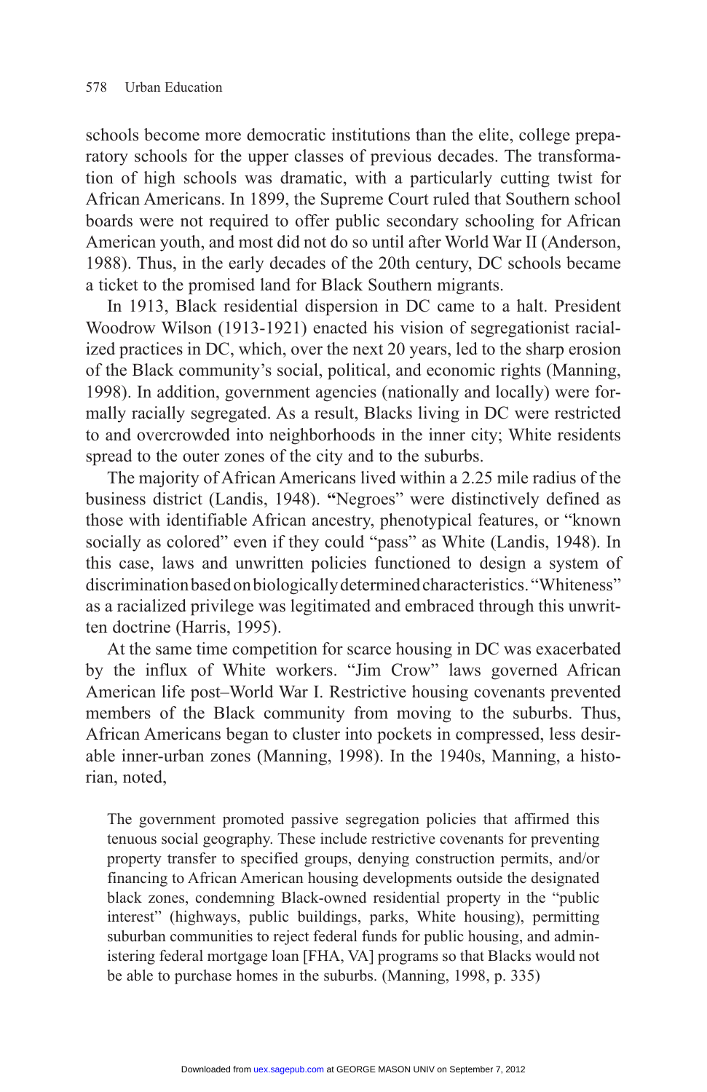schools become more democratic institutions than the elite, college preparatory schools for the upper classes of previous decades. The transformation of high schools was dramatic, with a particularly cutting twist for African Americans. In 1899, the Supreme Court ruled that Southern school boards were not required to offer public secondary schooling for African American youth, and most did not do so until after World War II (Anderson, 1988). Thus, in the early decades of the 20th century, DC schools became a ticket to the promised land for Black Southern migrants.

In 1913, Black residential dispersion in DC came to a halt. President Woodrow Wilson (1913-1921) enacted his vision of segregationist racialized practices in DC, which, over the next 20 years, led to the sharp erosion of the Black community's social, political, and economic rights (Manning, 1998). In addition, government agencies (nationally and locally) were formally racially segregated. As a result, Blacks living in DC were restricted to and overcrowded into neighborhoods in the inner city; White residents spread to the outer zones of the city and to the suburbs.

The majority of African Americans lived within a 2.25 mile radius of the business district (Landis, 1948). **"**Negroes" were distinctively defined as those with identifiable African ancestry, phenotypical features, or "known socially as colored" even if they could "pass" as White (Landis, 1948). In this case, laws and unwritten policies functioned to design a system of discrimination based on biologically determined characteristics. "Whiteness" as a racialized privilege was legitimated and embraced through this unwritten doctrine (Harris, 1995).

At the same time competition for scarce housing in DC was exacerbated by the influx of White workers. "Jim Crow" laws governed African American life post–World War I. Restrictive housing covenants prevented members of the Black community from moving to the suburbs. Thus, African Americans began to cluster into pockets in compressed, less desirable inner-urban zones (Manning, 1998). In the 1940s, Manning, a historian, noted,

The government promoted passive segregation policies that affirmed this tenuous social geography. These include restrictive covenants for preventing property transfer to specified groups, denying construction permits, and/or financing to African American housing developments outside the designated black zones, condemning Black-owned residential property in the "public interest" (highways, public buildings, parks, White housing), permitting suburban communities to reject federal funds for public housing, and administering federal mortgage loan [FHA, VA] programs so that Blacks would not be able to purchase homes in the suburbs. (Manning, 1998, p. 335)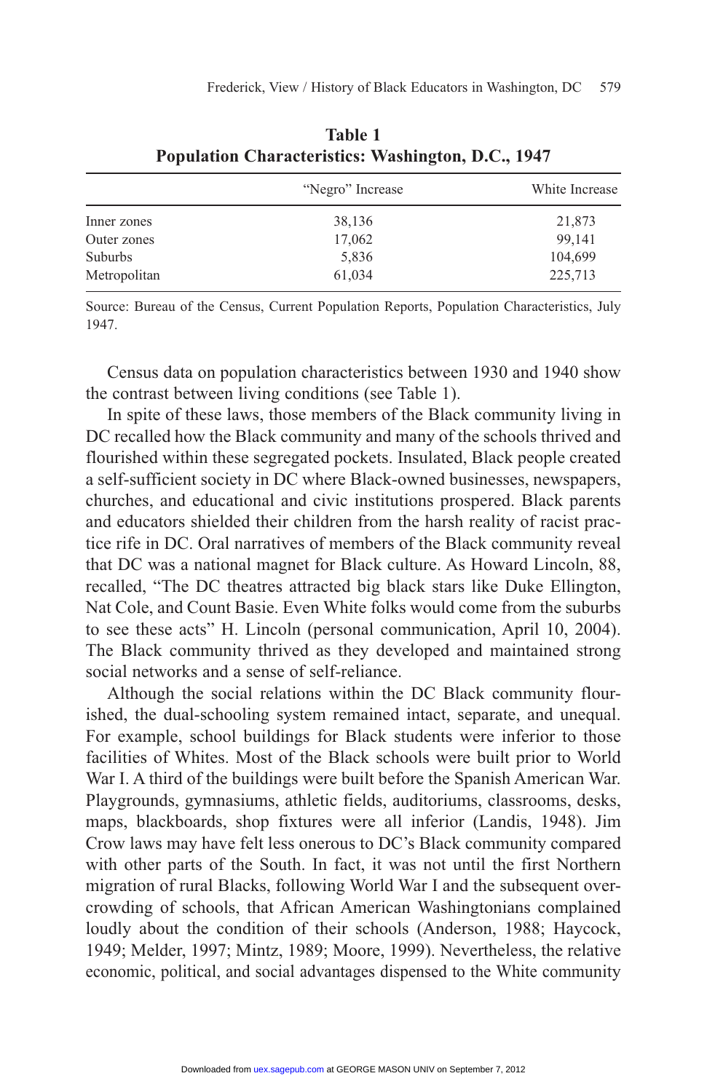|                | "Negro" Increase | White Increase |
|----------------|------------------|----------------|
| Inner zones    | 38,136           | 21,873         |
| Outer zones    | 17,062           | 99,141         |
| <b>Suburbs</b> | 5,836            | 104,699        |
| Metropolitan   | 61,034           | 225,713        |

#### **Table 1 Population Characteristics: Washington, D.C., 1947**

Source: Bureau of the Census, Current Population Reports, Population Characteristics, July 1947.

Census data on population characteristics between 1930 and 1940 show the contrast between living conditions (see Table 1).

In spite of these laws, those members of the Black community living in DC recalled how the Black community and many of the schools thrived and flourished within these segregated pockets. Insulated, Black people created a self-sufficient society in DC where Black-owned businesses, newspapers, churches, and educational and civic institutions prospered. Black parents and educators shielded their children from the harsh reality of racist practice rife in DC. Oral narratives of members of the Black community reveal that DC was a national magnet for Black culture. As Howard Lincoln, 88, recalled, "The DC theatres attracted big black stars like Duke Ellington, Nat Cole, and Count Basie. Even White folks would come from the suburbs to see these acts" H. Lincoln (personal communication, April 10, 2004). The Black community thrived as they developed and maintained strong social networks and a sense of self-reliance.

Although the social relations within the DC Black community flourished, the dual-schooling system remained intact, separate, and unequal. For example, school buildings for Black students were inferior to those facilities of Whites. Most of the Black schools were built prior to World War I. A third of the buildings were built before the Spanish American War. Playgrounds, gymnasiums, athletic fields, auditoriums, classrooms, desks, maps, blackboards, shop fixtures were all inferior (Landis, 1948). Jim Crow laws may have felt less onerous to DC's Black community compared with other parts of the South. In fact, it was not until the first Northern migration of rural Blacks, following World War I and the subsequent overcrowding of schools, that African American Washingtonians complained loudly about the condition of their schools (Anderson, 1988; Haycock, 1949; Melder, 1997; Mintz, 1989; Moore, 1999). Nevertheless, the relative economic, political, and social advantages dispensed to the White community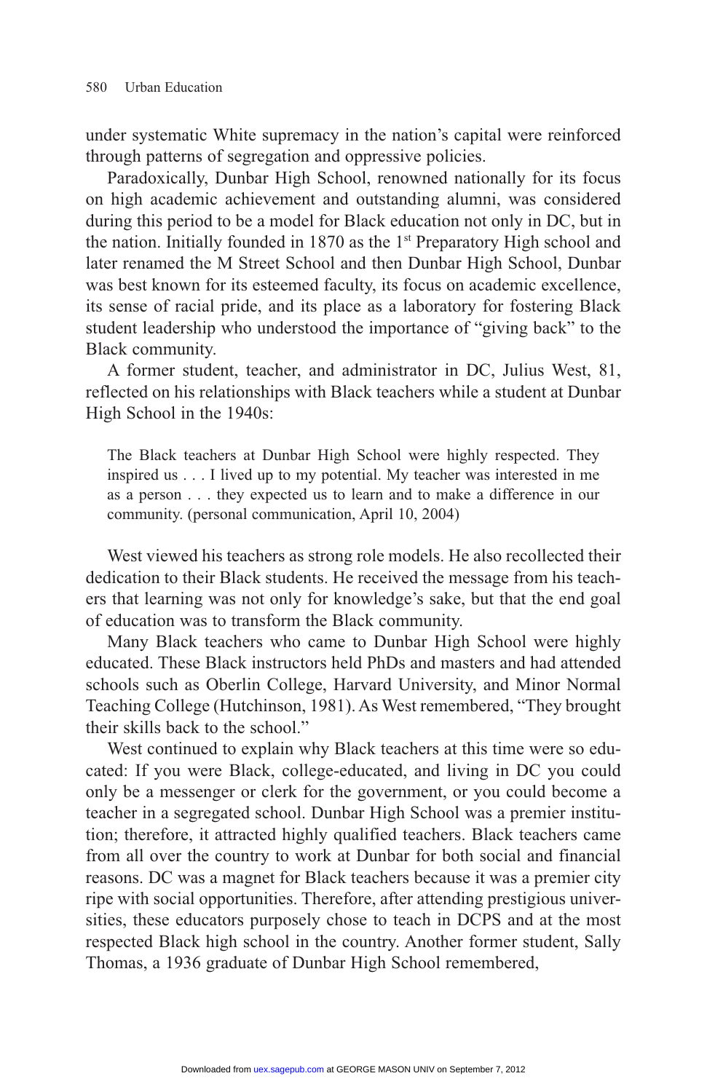under systematic White supremacy in the nation's capital were reinforced through patterns of segregation and oppressive policies.

Paradoxically, Dunbar High School, renowned nationally for its focus on high academic achievement and outstanding alumni, was considered during this period to be a model for Black education not only in DC, but in the nation. Initially founded in 1870 as the 1<sup>st</sup> Preparatory High school and later renamed the M Street School and then Dunbar High School, Dunbar was best known for its esteemed faculty, its focus on academic excellence, its sense of racial pride, and its place as a laboratory for fostering Black student leadership who understood the importance of "giving back" to the Black community.

A former student, teacher, and administrator in DC, Julius West, 81, reflected on his relationships with Black teachers while a student at Dunbar High School in the 1940s:

The Black teachers at Dunbar High School were highly respected. They inspired us . . . I lived up to my potential. My teacher was interested in me as a person . . . they expected us to learn and to make a difference in our community. (personal communication, April 10, 2004)

West viewed his teachers as strong role models. He also recollected their dedication to their Black students. He received the message from his teachers that learning was not only for knowledge's sake, but that the end goal of education was to transform the Black community.

Many Black teachers who came to Dunbar High School were highly educated. These Black instructors held PhDs and masters and had attended schools such as Oberlin College, Harvard University, and Minor Normal Teaching College (Hutchinson, 1981). As West remembered, "They brought their skills back to the school."

West continued to explain why Black teachers at this time were so educated: If you were Black, college-educated, and living in DC you could only be a messenger or clerk for the government, or you could become a teacher in a segregated school. Dunbar High School was a premier institution; therefore, it attracted highly qualified teachers. Black teachers came from all over the country to work at Dunbar for both social and financial reasons. DC was a magnet for Black teachers because it was a premier city ripe with social opportunities. Therefore, after attending prestigious universities, these educators purposely chose to teach in DCPS and at the most respected Black high school in the country. Another former student, Sally Thomas, a 1936 graduate of Dunbar High School remembered,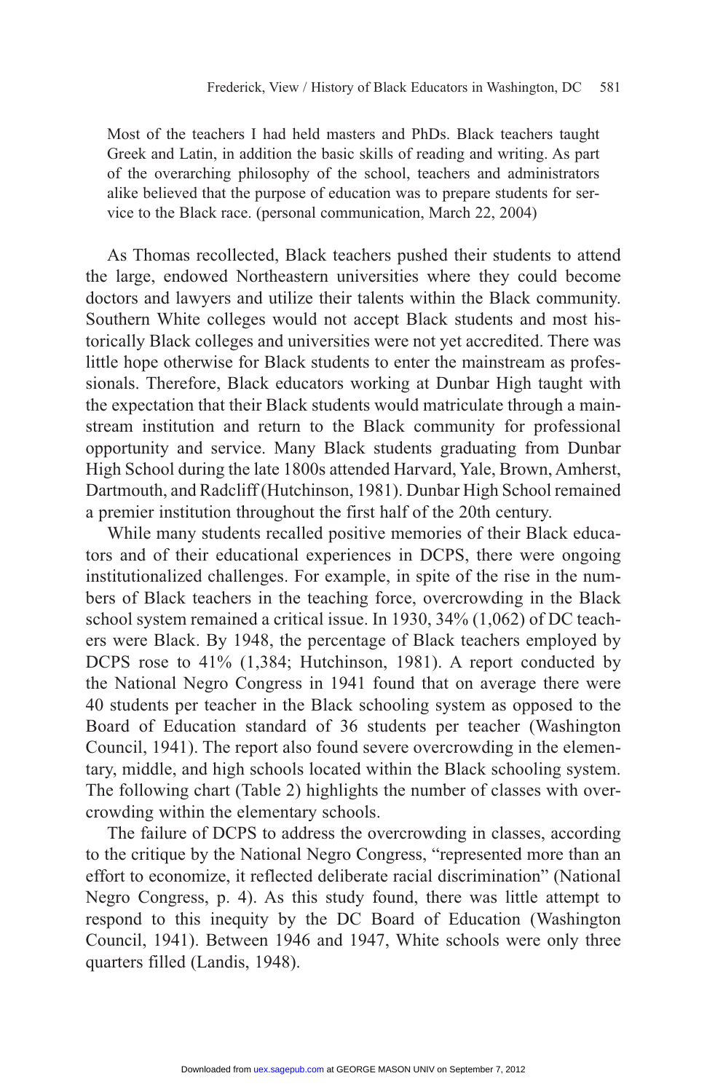Most of the teachers I had held masters and PhDs. Black teachers taught Greek and Latin, in addition the basic skills of reading and writing. As part of the overarching philosophy of the school, teachers and administrators alike believed that the purpose of education was to prepare students for service to the Black race. (personal communication, March 22, 2004)

As Thomas recollected, Black teachers pushed their students to attend the large, endowed Northeastern universities where they could become doctors and lawyers and utilize their talents within the Black community. Southern White colleges would not accept Black students and most historically Black colleges and universities were not yet accredited. There was little hope otherwise for Black students to enter the mainstream as professionals. Therefore, Black educators working at Dunbar High taught with the expectation that their Black students would matriculate through a mainstream institution and return to the Black community for professional opportunity and service. Many Black students graduating from Dunbar High School during the late 1800s attended Harvard, Yale, Brown, Amherst, Dartmouth, and Radcliff (Hutchinson, 1981). Dunbar High School remained a premier institution throughout the first half of the 20th century.

While many students recalled positive memories of their Black educators and of their educational experiences in DCPS, there were ongoing institutionalized challenges. For example, in spite of the rise in the numbers of Black teachers in the teaching force, overcrowding in the Black school system remained a critical issue. In 1930, 34% (1,062) of DC teachers were Black. By 1948, the percentage of Black teachers employed by DCPS rose to 41% (1,384; Hutchinson, 1981). A report conducted by the National Negro Congress in 1941 found that on average there were 40 students per teacher in the Black schooling system as opposed to the Board of Education standard of 36 students per teacher (Washington Council, 1941). The report also found severe overcrowding in the elementary, middle, and high schools located within the Black schooling system. The following chart (Table 2) highlights the number of classes with overcrowding within the elementary schools.

The failure of DCPS to address the overcrowding in classes, according to the critique by the National Negro Congress, "represented more than an effort to economize, it reflected deliberate racial discrimination" (National Negro Congress, p. 4). As this study found, there was little attempt to respond to this inequity by the DC Board of Education (Washington Council, 1941). Between 1946 and 1947, White schools were only three quarters filled (Landis, 1948).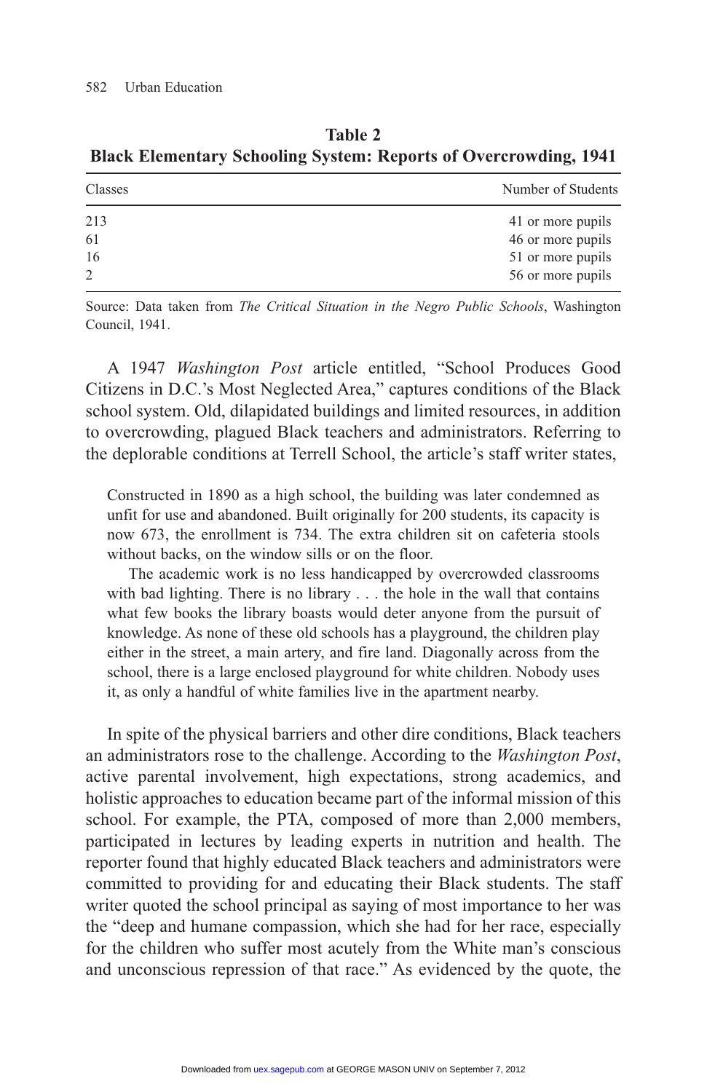| Classes        | Number of Students |
|----------------|--------------------|
| 213            | 41 or more pupils  |
| 61             | 46 or more pupils  |
| 16             | 51 or more pupils  |
| $\overline{2}$ | 56 or more pupils  |

**Table 2 Black Elementary Schooling System: Reports of Overcrowding, 1941**

Source: Data taken from *The Critical Situation in the Negro Public Schools*, Washington Council, 1941.

A 1947 *Washington Post* article entitled, "School Produces Good Citizens in D.C.'s Most Neglected Area," captures conditions of the Black school system. Old, dilapidated buildings and limited resources, in addition to overcrowding, plagued Black teachers and administrators. Referring to the deplorable conditions at Terrell School, the article's staff writer states,

Constructed in 1890 as a high school, the building was later condemned as unfit for use and abandoned. Built originally for 200 students, its capacity is now 673, the enrollment is 734. The extra children sit on cafeteria stools without backs, on the window sills or on the floor.

The academic work is no less handicapped by overcrowded classrooms with bad lighting. There is no library . . . the hole in the wall that contains what few books the library boasts would deter anyone from the pursuit of knowledge. As none of these old schools has a playground, the children play either in the street, a main artery, and fire land. Diagonally across from the school, there is a large enclosed playground for white children. Nobody uses it, as only a handful of white families live in the apartment nearby.

In spite of the physical barriers and other dire conditions, Black teachers an administrators rose to the challenge. According to the *Washington Post*, active parental involvement, high expectations, strong academics, and holistic approaches to education became part of the informal mission of this school. For example, the PTA, composed of more than 2,000 members, participated in lectures by leading experts in nutrition and health. The reporter found that highly educated Black teachers and administrators were committed to providing for and educating their Black students. The staff writer quoted the school principal as saying of most importance to her was the "deep and humane compassion, which she had for her race, especially for the children who suffer most acutely from the White man's conscious and unconscious repression of that race." As evidenced by the quote, the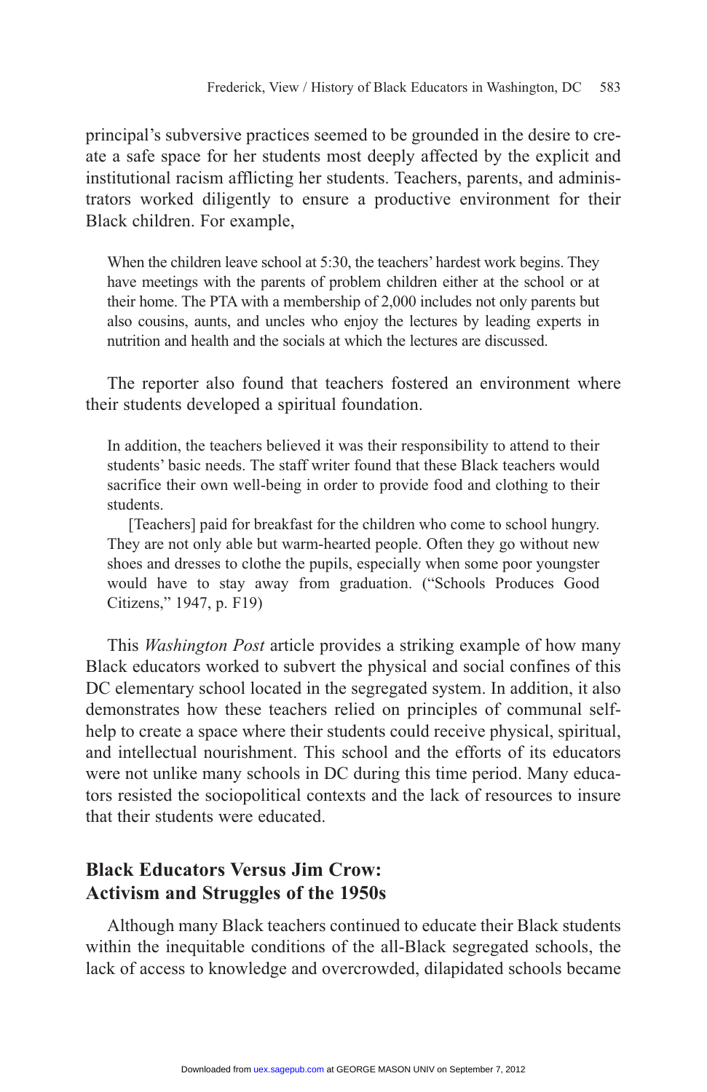principal's subversive practices seemed to be grounded in the desire to create a safe space for her students most deeply affected by the explicit and institutional racism afflicting her students. Teachers, parents, and administrators worked diligently to ensure a productive environment for their Black children. For example,

When the children leave school at 5:30, the teachers' hardest work begins. They have meetings with the parents of problem children either at the school or at their home. The PTA with a membership of 2,000 includes not only parents but also cousins, aunts, and uncles who enjoy the lectures by leading experts in nutrition and health and the socials at which the lectures are discussed.

The reporter also found that teachers fostered an environment where their students developed a spiritual foundation.

In addition, the teachers believed it was their responsibility to attend to their students' basic needs. The staff writer found that these Black teachers would sacrifice their own well-being in order to provide food and clothing to their students.

[Teachers] paid for breakfast for the children who come to school hungry. They are not only able but warm-hearted people. Often they go without new shoes and dresses to clothe the pupils, especially when some poor youngster would have to stay away from graduation. ("Schools Produces Good Citizens," 1947, p. F19)

This *Washington Post* article provides a striking example of how many Black educators worked to subvert the physical and social confines of this DC elementary school located in the segregated system. In addition, it also demonstrates how these teachers relied on principles of communal selfhelp to create a space where their students could receive physical, spiritual, and intellectual nourishment. This school and the efforts of its educators were not unlike many schools in DC during this time period. Many educators resisted the sociopolitical contexts and the lack of resources to insure that their students were educated.

### **Black Educators Versus Jim Crow: Activism and Struggles of the 1950s**

Although many Black teachers continued to educate their Black students within the inequitable conditions of the all-Black segregated schools, the lack of access to knowledge and overcrowded, dilapidated schools became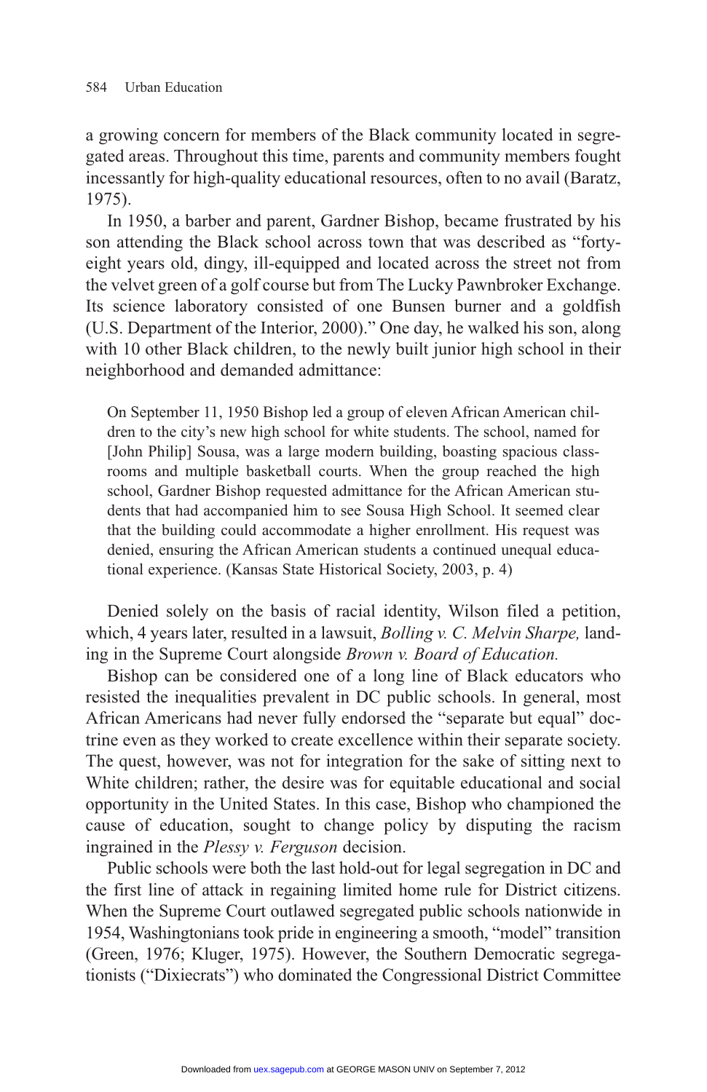a growing concern for members of the Black community located in segregated areas. Throughout this time, parents and community members fought incessantly for high-quality educational resources, often to no avail (Baratz, 1975).

In 1950, a barber and parent, Gardner Bishop, became frustrated by his son attending the Black school across town that was described as "fortyeight years old, dingy, ill-equipped and located across the street not from the velvet green of a golf course but from The Lucky Pawnbroker Exchange. Its science laboratory consisted of one Bunsen burner and a goldfish (U.S. Department of the Interior, 2000)." One day, he walked his son, along with 10 other Black children, to the newly built junior high school in their neighborhood and demanded admittance:

On September 11, 1950 Bishop led a group of eleven African American children to the city's new high school for white students. The school, named for [John Philip] Sousa, was a large modern building, boasting spacious classrooms and multiple basketball courts. When the group reached the high school, Gardner Bishop requested admittance for the African American students that had accompanied him to see Sousa High School. It seemed clear that the building could accommodate a higher enrollment. His request was denied, ensuring the African American students a continued unequal educational experience. (Kansas State Historical Society, 2003, p. 4)

Denied solely on the basis of racial identity, Wilson filed a petition, which, 4 years later, resulted in a lawsuit, *Bolling v. C. Melvin Sharpe,* landing in the Supreme Court alongside *Brown v. Board of Education.*

Bishop can be considered one of a long line of Black educators who resisted the inequalities prevalent in DC public schools. In general, most African Americans had never fully endorsed the "separate but equal" doctrine even as they worked to create excellence within their separate society. The quest, however, was not for integration for the sake of sitting next to White children; rather, the desire was for equitable educational and social opportunity in the United States. In this case, Bishop who championed the cause of education, sought to change policy by disputing the racism ingrained in the *Plessy v. Ferguson* decision.

Public schools were both the last hold-out for legal segregation in DC and the first line of attack in regaining limited home rule for District citizens. When the Supreme Court outlawed segregated public schools nationwide in 1954, Washingtonians took pride in engineering a smooth, "model" transition (Green, 1976; Kluger, 1975). However, the Southern Democratic segregationists ("Dixiecrats") who dominated the Congressional District Committee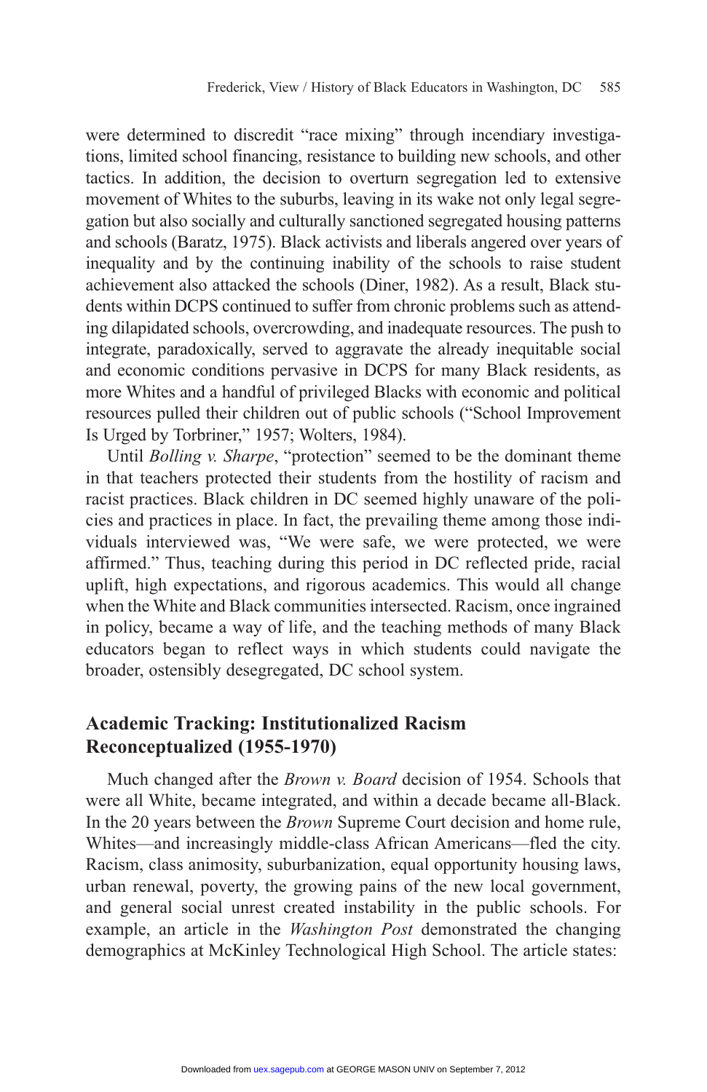were determined to discredit "race mixing" through incendiary investigations, limited school financing, resistance to building new schools, and other tactics. In addition, the decision to overturn segregation led to extensive movement of Whites to the suburbs, leaving in its wake not only legal segregation but also socially and culturally sanctioned segregated housing patterns and schools (Baratz, 1975). Black activists and liberals angered over years of inequality and by the continuing inability of the schools to raise student achievement also attacked the schools (Diner, 1982). As a result, Black students within DCPS continued to suffer from chronic problems such as attending dilapidated schools, overcrowding, and inadequate resources. The push to integrate, paradoxically, served to aggravate the already inequitable social and economic conditions pervasive in DCPS for many Black residents, as more Whites and a handful of privileged Blacks with economic and political resources pulled their children out of public schools ("School Improvement Is Urged by Torbriner," 1957; Wolters, 1984).

Until *Bolling v. Sharpe*, "protection" seemed to be the dominant theme in that teachers protected their students from the hostility of racism and racist practices. Black children in DC seemed highly unaware of the policies and practices in place. In fact, the prevailing theme among those individuals interviewed was, "We were safe, we were protected, we were affirmed." Thus, teaching during this period in DC reflected pride, racial uplift, high expectations, and rigorous academics. This would all change when the White and Black communities intersected. Racism, once ingrained in policy, became a way of life, and the teaching methods of many Black educators began to reflect ways in which students could navigate the broader, ostensibly desegregated, DC school system.

## **Academic Tracking: Institutionalized Racism Reconceptualized (1955-1970)**

Much changed after the *Brown v. Board* decision of 1954. Schools that were all White, became integrated, and within a decade became all-Black. In the 20 years between the *Brown* Supreme Court decision and home rule, Whites—and increasingly middle-class African Americans—fled the city. Racism, class animosity, suburbanization, equal opportunity housing laws, urban renewal, poverty, the growing pains of the new local government, and general social unrest created instability in the public schools. For example, an article in the *Washington Post* demonstrated the changing demographics at McKinley Technological High School. The article states: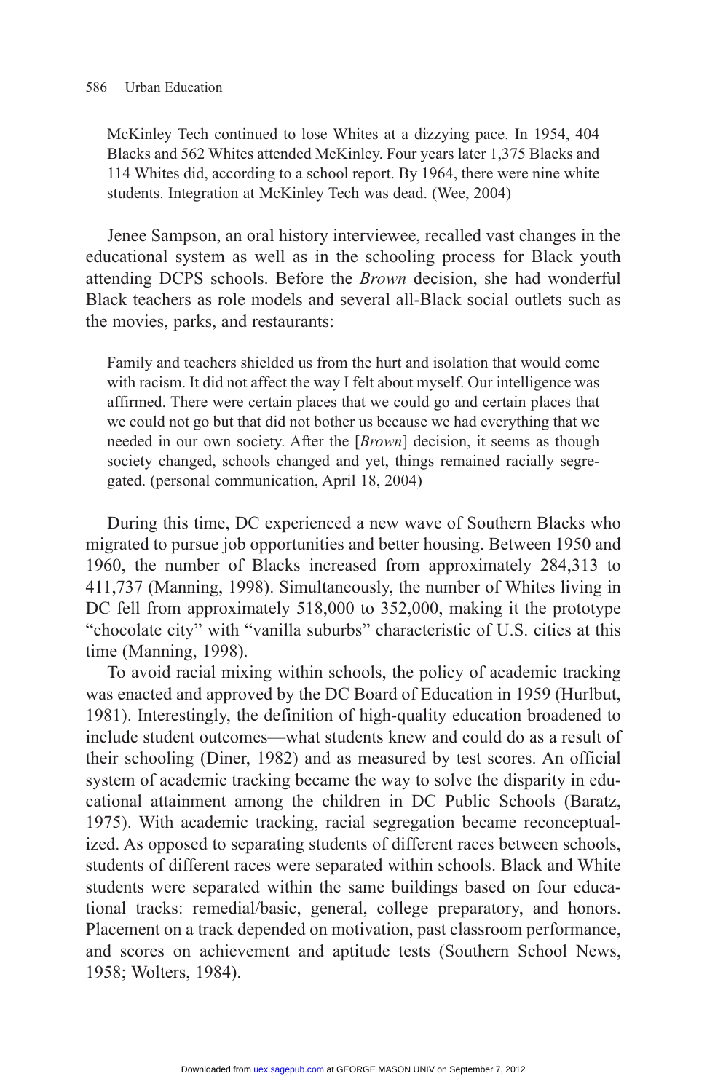McKinley Tech continued to lose Whites at a dizzying pace. In 1954, 404 Blacks and 562 Whites attended McKinley. Four years later 1,375 Blacks and 114 Whites did, according to a school report. By 1964, there were nine white students. Integration at McKinley Tech was dead. (Wee, 2004)

Jenee Sampson, an oral history interviewee, recalled vast changes in the educational system as well as in the schooling process for Black youth attending DCPS schools. Before the *Brown* decision, she had wonderful Black teachers as role models and several all-Black social outlets such as the movies, parks, and restaurants:

Family and teachers shielded us from the hurt and isolation that would come with racism. It did not affect the way I felt about myself. Our intelligence was affirmed. There were certain places that we could go and certain places that we could not go but that did not bother us because we had everything that we needed in our own society. After the [*Brown*] decision, it seems as though society changed, schools changed and yet, things remained racially segregated. (personal communication, April 18, 2004)

During this time, DC experienced a new wave of Southern Blacks who migrated to pursue job opportunities and better housing. Between 1950 and 1960, the number of Blacks increased from approximately 284,313 to 411,737 (Manning, 1998). Simultaneously, the number of Whites living in DC fell from approximately 518,000 to 352,000, making it the prototype "chocolate city" with "vanilla suburbs" characteristic of U.S. cities at this time (Manning, 1998).

To avoid racial mixing within schools, the policy of academic tracking was enacted and approved by the DC Board of Education in 1959 (Hurlbut, 1981). Interestingly, the definition of high-quality education broadened to include student outcomes—what students knew and could do as a result of their schooling (Diner, 1982) and as measured by test scores. An official system of academic tracking became the way to solve the disparity in educational attainment among the children in DC Public Schools (Baratz, 1975). With academic tracking, racial segregation became reconceptualized. As opposed to separating students of different races between schools, students of different races were separated within schools. Black and White students were separated within the same buildings based on four educational tracks: remedial/basic, general, college preparatory, and honors. Placement on a track depended on motivation, past classroom performance, and scores on achievement and aptitude tests (Southern School News, 1958; Wolters, 1984).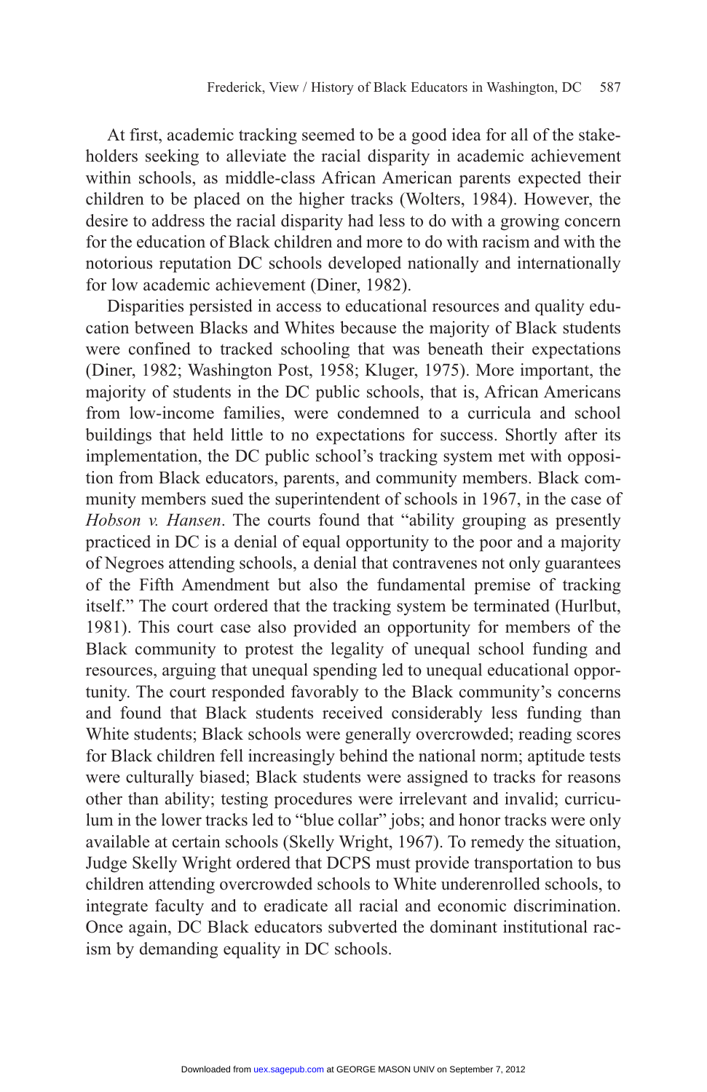At first, academic tracking seemed to be a good idea for all of the stakeholders seeking to alleviate the racial disparity in academic achievement within schools, as middle-class African American parents expected their children to be placed on the higher tracks (Wolters, 1984). However, the desire to address the racial disparity had less to do with a growing concern for the education of Black children and more to do with racism and with the notorious reputation DC schools developed nationally and internationally for low academic achievement (Diner, 1982).

Disparities persisted in access to educational resources and quality education between Blacks and Whites because the majority of Black students were confined to tracked schooling that was beneath their expectations (Diner, 1982; Washington Post, 1958; Kluger, 1975). More important, the majority of students in the DC public schools, that is, African Americans from low-income families, were condemned to a curricula and school buildings that held little to no expectations for success. Shortly after its implementation, the DC public school's tracking system met with opposition from Black educators, parents, and community members. Black community members sued the superintendent of schools in 1967, in the case of *Hobson v. Hansen*. The courts found that "ability grouping as presently practiced in DC is a denial of equal opportunity to the poor and a majority of Negroes attending schools, a denial that contravenes not only guarantees of the Fifth Amendment but also the fundamental premise of tracking itself." The court ordered that the tracking system be terminated (Hurlbut, 1981). This court case also provided an opportunity for members of the Black community to protest the legality of unequal school funding and resources, arguing that unequal spending led to unequal educational opportunity. The court responded favorably to the Black community's concerns and found that Black students received considerably less funding than White students; Black schools were generally overcrowded; reading scores for Black children fell increasingly behind the national norm; aptitude tests were culturally biased; Black students were assigned to tracks for reasons other than ability; testing procedures were irrelevant and invalid; curriculum in the lower tracks led to "blue collar" jobs; and honor tracks were only available at certain schools (Skelly Wright, 1967). To remedy the situation, Judge Skelly Wright ordered that DCPS must provide transportation to bus children attending overcrowded schools to White underenrolled schools, to integrate faculty and to eradicate all racial and economic discrimination. Once again, DC Black educators subverted the dominant institutional racism by demanding equality in DC schools.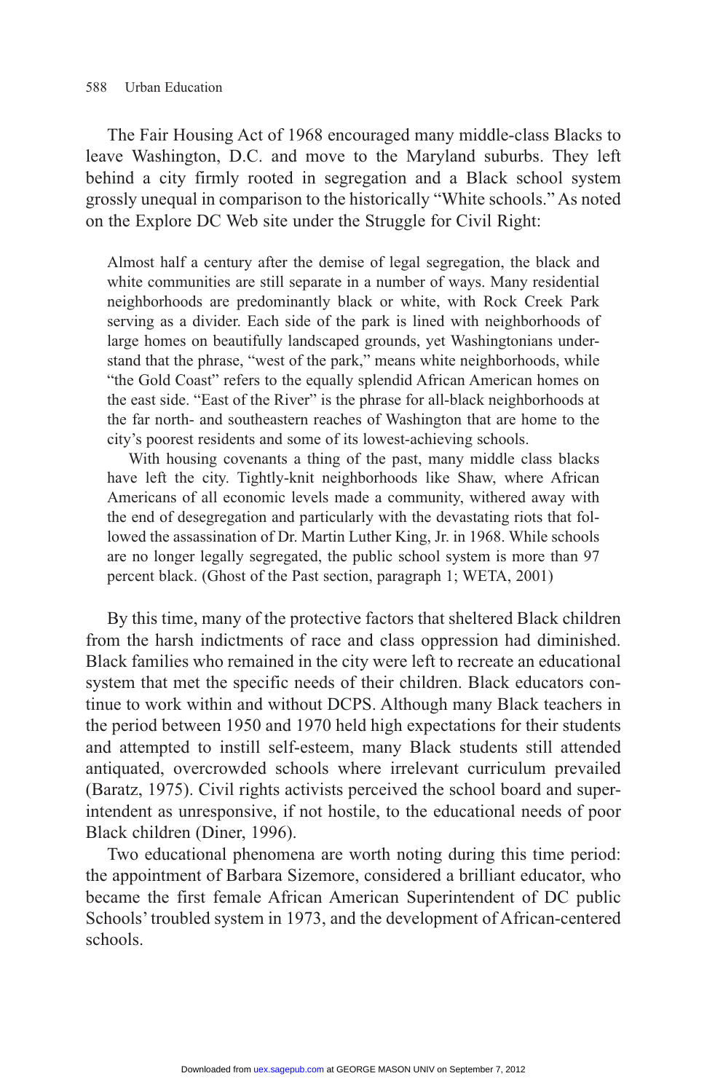The Fair Housing Act of 1968 encouraged many middle-class Blacks to leave Washington, D.C. and move to the Maryland suburbs. They left behind a city firmly rooted in segregation and a Black school system grossly unequal in comparison to the historically "White schools." As noted on the Explore DC Web site under the Struggle for Civil Right:

Almost half a century after the demise of legal segregation, the black and white communities are still separate in a number of ways. Many residential neighborhoods are predominantly black or white, with Rock Creek Park serving as a divider. Each side of the park is lined with neighborhoods of large homes on beautifully landscaped grounds, yet Washingtonians understand that the phrase, "west of the park," means white neighborhoods, while "the Gold Coast" refers to the equally splendid African American homes on the east side. "East of the River" is the phrase for all-black neighborhoods at the far north- and southeastern reaches of Washington that are home to the city's poorest residents and some of its lowest-achieving schools.

With housing covenants a thing of the past, many middle class blacks have left the city. Tightly-knit neighborhoods like Shaw, where African Americans of all economic levels made a community, withered away with the end of desegregation and particularly with the devastating riots that followed the assassination of Dr. Martin Luther King, Jr. in 1968. While schools are no longer legally segregated, the public school system is more than 97 percent black. (Ghost of the Past section, paragraph 1; WETA, 2001)

By this time, many of the protective factors that sheltered Black children from the harsh indictments of race and class oppression had diminished. Black families who remained in the city were left to recreate an educational system that met the specific needs of their children. Black educators continue to work within and without DCPS. Although many Black teachers in the period between 1950 and 1970 held high expectations for their students and attempted to instill self-esteem, many Black students still attended antiquated, overcrowded schools where irrelevant curriculum prevailed (Baratz, 1975). Civil rights activists perceived the school board and superintendent as unresponsive, if not hostile, to the educational needs of poor Black children (Diner, 1996).

Two educational phenomena are worth noting during this time period: the appointment of Barbara Sizemore, considered a brilliant educator, who became the first female African American Superintendent of DC public Schools' troubled system in 1973, and the development of African-centered schools.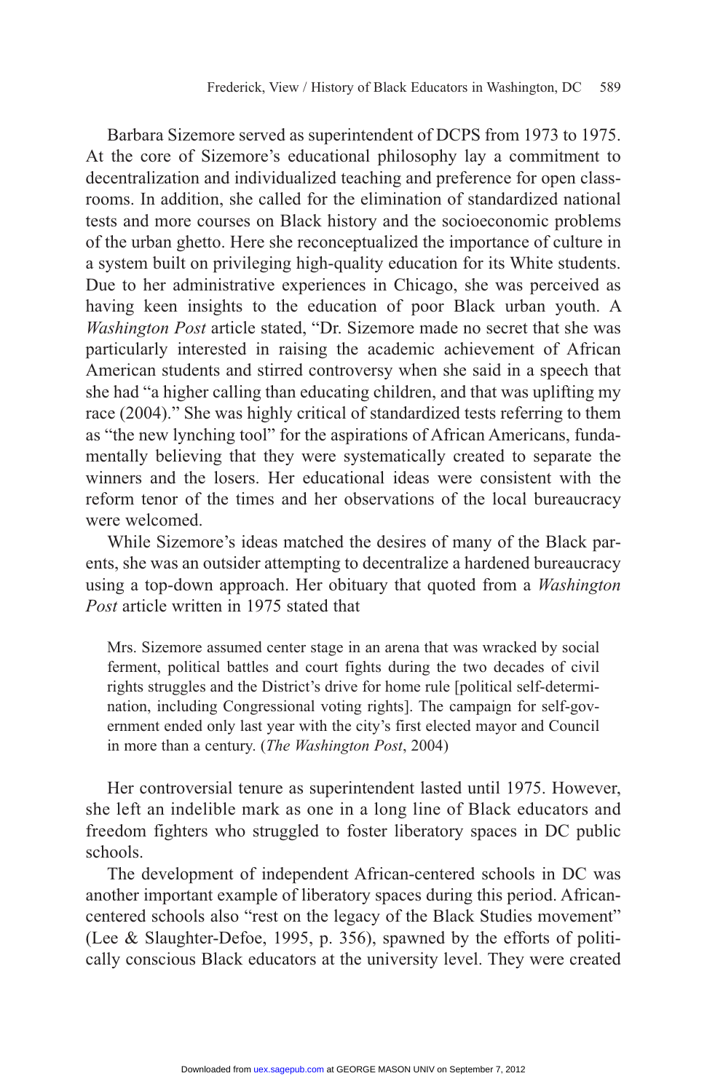Barbara Sizemore served as superintendent of DCPS from 1973 to 1975. At the core of Sizemore's educational philosophy lay a commitment to decentralization and individualized teaching and preference for open classrooms. In addition, she called for the elimination of standardized national tests and more courses on Black history and the socioeconomic problems of the urban ghetto. Here she reconceptualized the importance of culture in a system built on privileging high-quality education for its White students. Due to her administrative experiences in Chicago, she was perceived as having keen insights to the education of poor Black urban youth. A *Washington Post* article stated, "Dr. Sizemore made no secret that she was particularly interested in raising the academic achievement of African American students and stirred controversy when she said in a speech that she had "a higher calling than educating children, and that was uplifting my race (2004)." She was highly critical of standardized tests referring to them as "the new lynching tool" for the aspirations of African Americans, fundamentally believing that they were systematically created to separate the winners and the losers. Her educational ideas were consistent with the reform tenor of the times and her observations of the local bureaucracy were welcomed.

While Sizemore's ideas matched the desires of many of the Black parents, she was an outsider attempting to decentralize a hardened bureaucracy using a top-down approach. Her obituary that quoted from a *Washington Post* article written in 1975 stated that

Mrs. Sizemore assumed center stage in an arena that was wracked by social ferment, political battles and court fights during the two decades of civil rights struggles and the District's drive for home rule [political self-determination, including Congressional voting rights]. The campaign for self-government ended only last year with the city's first elected mayor and Council in more than a century. (*The Washington Post*, 2004)

Her controversial tenure as superintendent lasted until 1975. However, she left an indelible mark as one in a long line of Black educators and freedom fighters who struggled to foster liberatory spaces in DC public schools.

The development of independent African-centered schools in DC was another important example of liberatory spaces during this period. Africancentered schools also "rest on the legacy of the Black Studies movement" (Lee & Slaughter-Defoe, 1995, p. 356), spawned by the efforts of politically conscious Black educators at the university level. They were created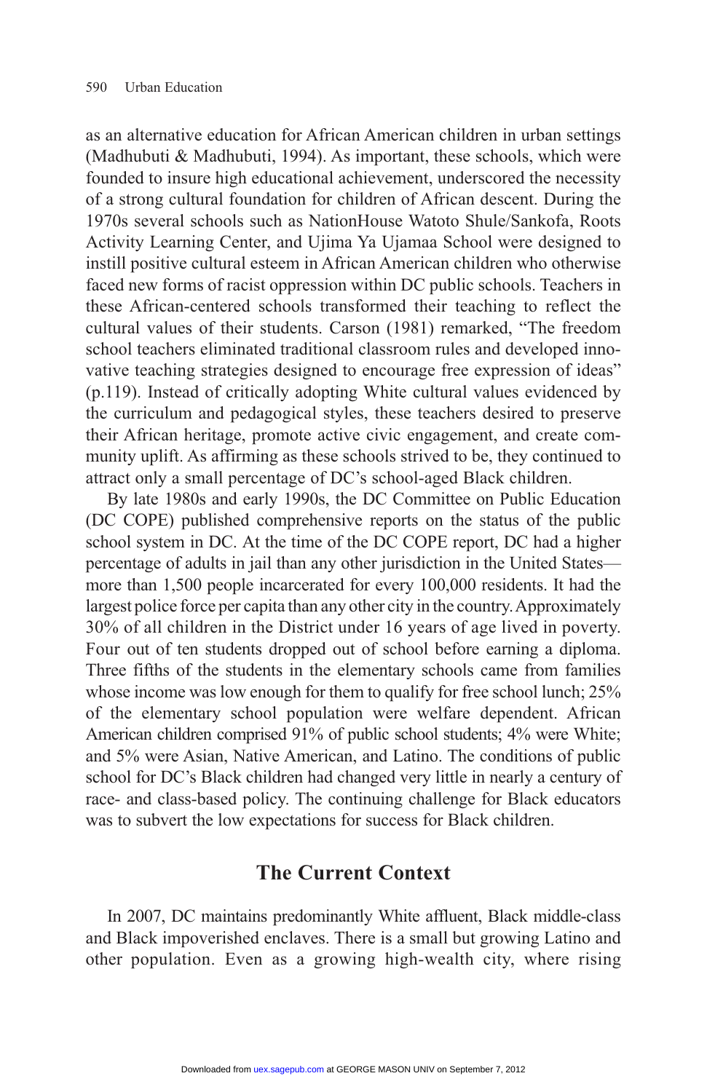as an alternative education for African American children in urban settings (Madhubuti & Madhubuti, 1994). As important, these schools, which were founded to insure high educational achievement, underscored the necessity of a strong cultural foundation for children of African descent. During the 1970s several schools such as NationHouse Watoto Shule/Sankofa, Roots Activity Learning Center, and Ujima Ya Ujamaa School were designed to instill positive cultural esteem in African American children who otherwise faced new forms of racist oppression within DC public schools. Teachers in these African-centered schools transformed their teaching to reflect the cultural values of their students. Carson (1981) remarked, "The freedom school teachers eliminated traditional classroom rules and developed innovative teaching strategies designed to encourage free expression of ideas" (p.119). Instead of critically adopting White cultural values evidenced by the curriculum and pedagogical styles, these teachers desired to preserve their African heritage, promote active civic engagement, and create community uplift. As affirming as these schools strived to be, they continued to attract only a small percentage of DC's school-aged Black children.

By late 1980s and early 1990s, the DC Committee on Public Education (DC COPE) published comprehensive reports on the status of the public school system in DC. At the time of the DC COPE report, DC had a higher percentage of adults in jail than any other jurisdiction in the United States more than 1,500 people incarcerated for every 100,000 residents. It had the largest police force per capita than any other city in the country. Approximately 30% of all children in the District under 16 years of age lived in poverty. Four out of ten students dropped out of school before earning a diploma. Three fifths of the students in the elementary schools came from families whose income was low enough for them to qualify for free school lunch;  $25\%$ of the elementary school population were welfare dependent. African American children comprised 91% of public school students; 4% were White; and 5% were Asian, Native American, and Latino. The conditions of public school for DC's Black children had changed very little in nearly a century of race- and class-based policy. The continuing challenge for Black educators was to subvert the low expectations for success for Black children.

#### **The Current Context**

In 2007, DC maintains predominantly White affluent, Black middle-class and Black impoverished enclaves. There is a small but growing Latino and other population. Even as a growing high-wealth city, where rising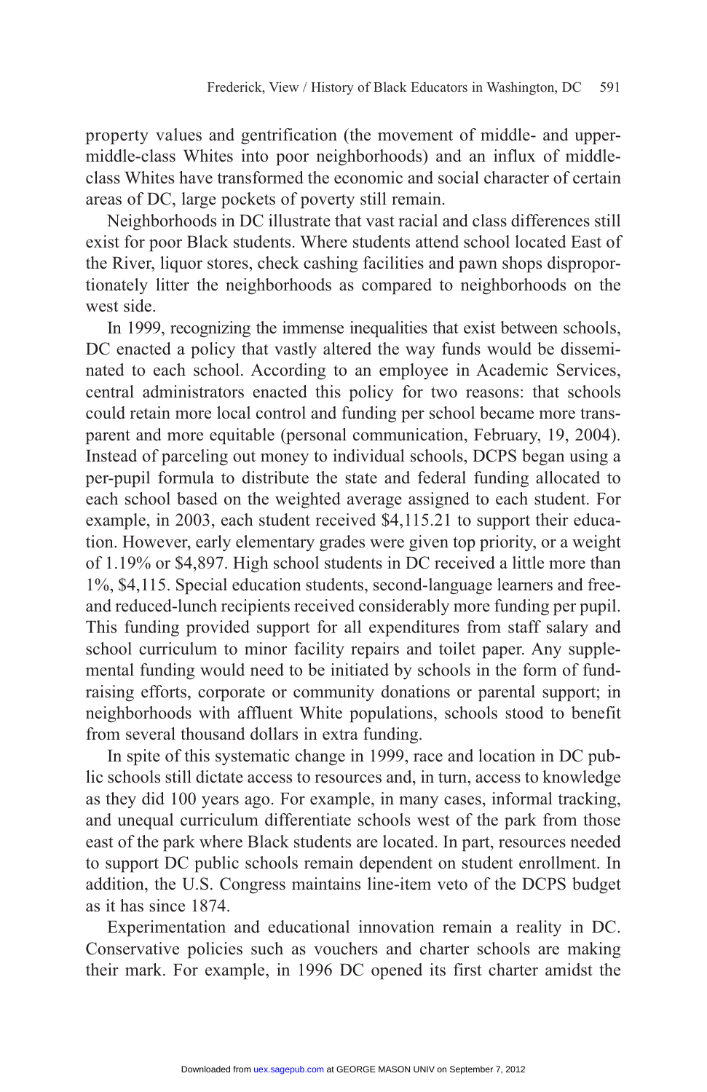property values and gentrification (the movement of middle- and uppermiddle-class Whites into poor neighborhoods) and an influx of middleclass Whites have transformed the economic and social character of certain areas of DC, large pockets of poverty still remain.

Neighborhoods in DC illustrate that vast racial and class differences still exist for poor Black students. Where students attend school located East of the River, liquor stores, check cashing facilities and pawn shops disproportionately litter the neighborhoods as compared to neighborhoods on the west side.

In 1999, recognizing the immense inequalities that exist between schools, DC enacted a policy that vastly altered the way funds would be disseminated to each school. According to an employee in Academic Services, central administrators enacted this policy for two reasons: that schools could retain more local control and funding per school became more transparent and more equitable (personal communication, February, 19, 2004). Instead of parceling out money to individual schools, DCPS began using a per-pupil formula to distribute the state and federal funding allocated to each school based on the weighted average assigned to each student. For example, in 2003, each student received \$4,115.21 to support their education. However, early elementary grades were given top priority, or a weight of 1.19% or \$4,897. High school students in DC received a little more than 1%, \$4,115. Special education students, second-language learners and freeand reduced-lunch recipients received considerably more funding per pupil. This funding provided support for all expenditures from staff salary and school curriculum to minor facility repairs and toilet paper. Any supplemental funding would need to be initiated by schools in the form of fundraising efforts, corporate or community donations or parental support; in neighborhoods with affluent White populations, schools stood to benefit from several thousand dollars in extra funding.

In spite of this systematic change in 1999, race and location in DC public schools still dictate access to resources and, in turn, access to knowledge as they did 100 years ago. For example, in many cases, informal tracking, and unequal curriculum differentiate schools west of the park from those east of the park where Black students are located. In part, resources needed to support DC public schools remain dependent on student enrollment. In addition, the U.S. Congress maintains line-item veto of the DCPS budget as it has since 1874.

Experimentation and educational innovation remain a reality in DC. Conservative policies such as vouchers and charter schools are making their mark. For example, in 1996 DC opened its first charter amidst the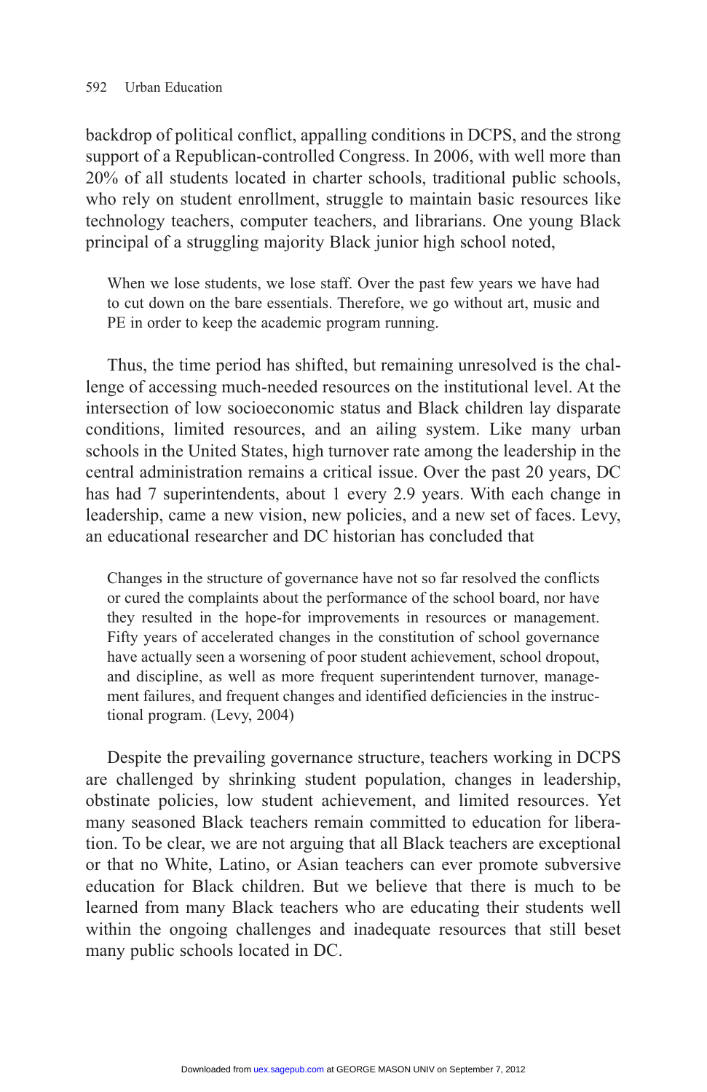backdrop of political conflict, appalling conditions in DCPS, and the strong support of a Republican-controlled Congress. In 2006, with well more than 20% of all students located in charter schools, traditional public schools, who rely on student enrollment, struggle to maintain basic resources like technology teachers, computer teachers, and librarians. One young Black principal of a struggling majority Black junior high school noted,

When we lose students, we lose staff. Over the past few years we have had to cut down on the bare essentials. Therefore, we go without art, music and PE in order to keep the academic program running.

Thus, the time period has shifted, but remaining unresolved is the challenge of accessing much-needed resources on the institutional level. At the intersection of low socioeconomic status and Black children lay disparate conditions, limited resources, and an ailing system. Like many urban schools in the United States, high turnover rate among the leadership in the central administration remains a critical issue. Over the past 20 years, DC has had 7 superintendents, about 1 every 2.9 years. With each change in leadership, came a new vision, new policies, and a new set of faces. Levy, an educational researcher and DC historian has concluded that

Changes in the structure of governance have not so far resolved the conflicts or cured the complaints about the performance of the school board, nor have they resulted in the hope-for improvements in resources or management. Fifty years of accelerated changes in the constitution of school governance have actually seen a worsening of poor student achievement, school dropout, and discipline, as well as more frequent superintendent turnover, management failures, and frequent changes and identified deficiencies in the instructional program. (Levy, 2004)

Despite the prevailing governance structure, teachers working in DCPS are challenged by shrinking student population, changes in leadership, obstinate policies, low student achievement, and limited resources. Yet many seasoned Black teachers remain committed to education for liberation. To be clear, we are not arguing that all Black teachers are exceptional or that no White, Latino, or Asian teachers can ever promote subversive education for Black children. But we believe that there is much to be learned from many Black teachers who are educating their students well within the ongoing challenges and inadequate resources that still beset many public schools located in DC.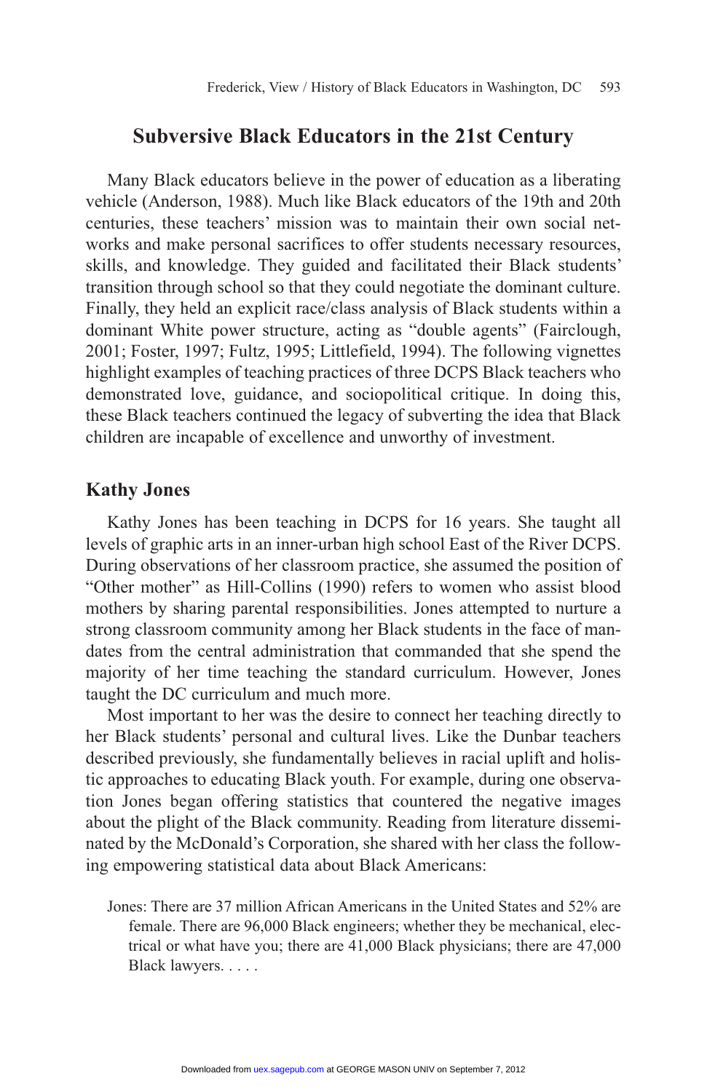## **Subversive Black Educators in the 21st Century**

Many Black educators believe in the power of education as a liberating vehicle (Anderson, 1988). Much like Black educators of the 19th and 20th centuries, these teachers' mission was to maintain their own social networks and make personal sacrifices to offer students necessary resources, skills, and knowledge. They guided and facilitated their Black students' transition through school so that they could negotiate the dominant culture. Finally, they held an explicit race/class analysis of Black students within a dominant White power structure, acting as "double agents" (Fairclough, 2001; Foster, 1997; Fultz, 1995; Littlefield, 1994). The following vignettes highlight examples of teaching practices of three DCPS Black teachers who demonstrated love, guidance, and sociopolitical critique. In doing this, these Black teachers continued the legacy of subverting the idea that Black children are incapable of excellence and unworthy of investment.

#### **Kathy Jones**

Kathy Jones has been teaching in DCPS for 16 years. She taught all levels of graphic arts in an inner-urban high school East of the River DCPS. During observations of her classroom practice, she assumed the position of "Other mother" as Hill-Collins (1990) refers to women who assist blood mothers by sharing parental responsibilities. Jones attempted to nurture a strong classroom community among her Black students in the face of mandates from the central administration that commanded that she spend the majority of her time teaching the standard curriculum. However, Jones taught the DC curriculum and much more.

Most important to her was the desire to connect her teaching directly to her Black students' personal and cultural lives. Like the Dunbar teachers described previously, she fundamentally believes in racial uplift and holistic approaches to educating Black youth. For example, during one observation Jones began offering statistics that countered the negative images about the plight of the Black community. Reading from literature disseminated by the McDonald's Corporation, she shared with her class the following empowering statistical data about Black Americans:

Jones: There are 37 million African Americans in the United States and 52% are female. There are 96,000 Black engineers; whether they be mechanical, electrical or what have you; there are 41,000 Black physicians; there are 47,000 Black lawyers. . . . .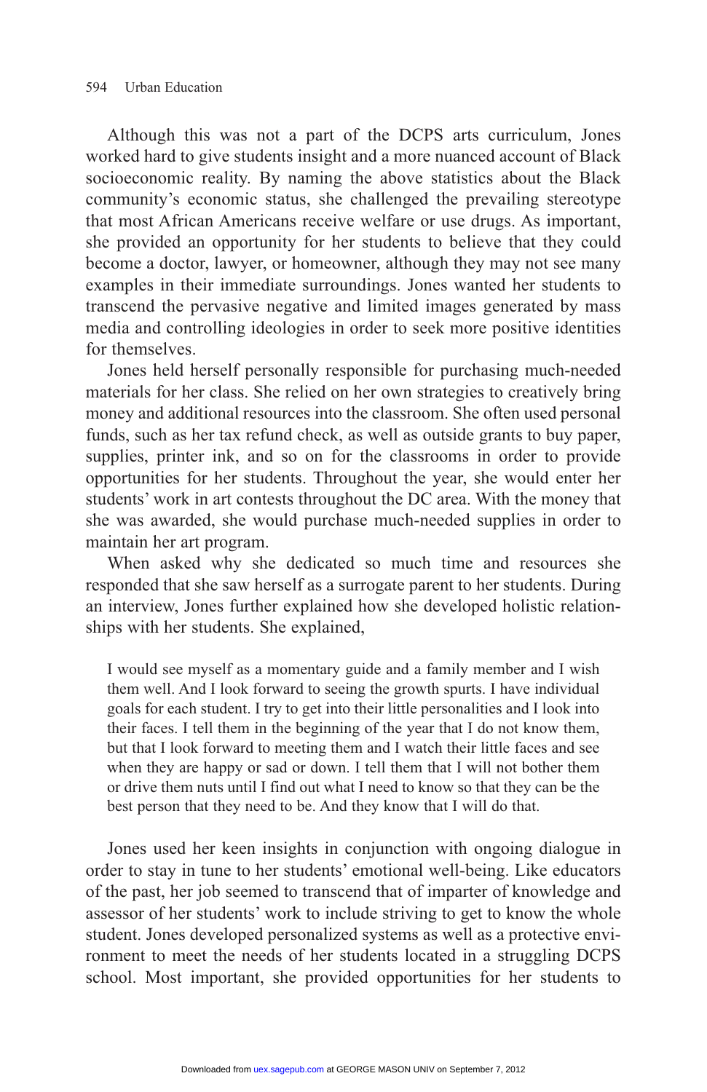Although this was not a part of the DCPS arts curriculum, Jones worked hard to give students insight and a more nuanced account of Black socioeconomic reality. By naming the above statistics about the Black community's economic status, she challenged the prevailing stereotype that most African Americans receive welfare or use drugs. As important, she provided an opportunity for her students to believe that they could become a doctor, lawyer, or homeowner, although they may not see many examples in their immediate surroundings. Jones wanted her students to transcend the pervasive negative and limited images generated by mass media and controlling ideologies in order to seek more positive identities for themselves.

Jones held herself personally responsible for purchasing much-needed materials for her class. She relied on her own strategies to creatively bring money and additional resources into the classroom. She often used personal funds, such as her tax refund check, as well as outside grants to buy paper, supplies, printer ink, and so on for the classrooms in order to provide opportunities for her students. Throughout the year, she would enter her students' work in art contests throughout the DC area. With the money that she was awarded, she would purchase much-needed supplies in order to maintain her art program.

When asked why she dedicated so much time and resources she responded that she saw herself as a surrogate parent to her students. During an interview, Jones further explained how she developed holistic relationships with her students. She explained,

I would see myself as a momentary guide and a family member and I wish them well. And I look forward to seeing the growth spurts. I have individual goals for each student. I try to get into their little personalities and I look into their faces. I tell them in the beginning of the year that I do not know them, but that I look forward to meeting them and I watch their little faces and see when they are happy or sad or down. I tell them that I will not bother them or drive them nuts until I find out what I need to know so that they can be the best person that they need to be. And they know that I will do that.

Jones used her keen insights in conjunction with ongoing dialogue in order to stay in tune to her students' emotional well-being. Like educators of the past, her job seemed to transcend that of imparter of knowledge and assessor of her students' work to include striving to get to know the whole student. Jones developed personalized systems as well as a protective environment to meet the needs of her students located in a struggling DCPS school. Most important, she provided opportunities for her students to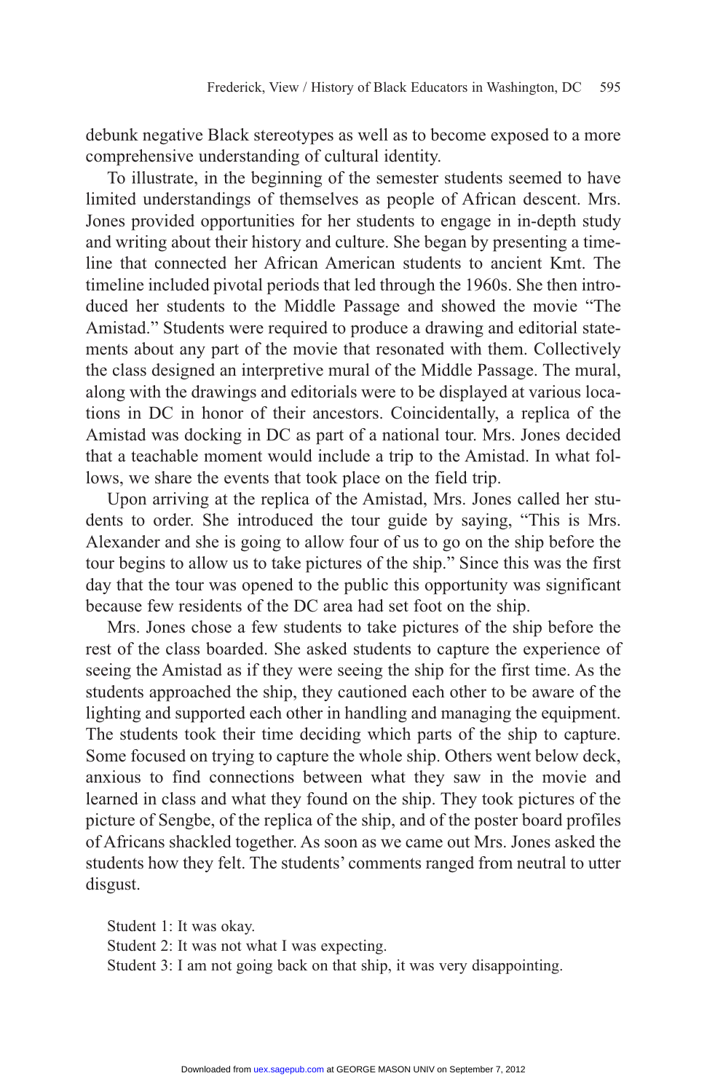debunk negative Black stereotypes as well as to become exposed to a more comprehensive understanding of cultural identity.

To illustrate, in the beginning of the semester students seemed to have limited understandings of themselves as people of African descent. Mrs. Jones provided opportunities for her students to engage in in-depth study and writing about their history and culture. She began by presenting a timeline that connected her African American students to ancient Kmt. The timeline included pivotal periods that led through the 1960s. She then introduced her students to the Middle Passage and showed the movie "The Amistad." Students were required to produce a drawing and editorial statements about any part of the movie that resonated with them. Collectively the class designed an interpretive mural of the Middle Passage. The mural, along with the drawings and editorials were to be displayed at various locations in DC in honor of their ancestors. Coincidentally, a replica of the Amistad was docking in DC as part of a national tour. Mrs. Jones decided that a teachable moment would include a trip to the Amistad. In what follows, we share the events that took place on the field trip.

Upon arriving at the replica of the Amistad, Mrs. Jones called her students to order. She introduced the tour guide by saying, "This is Mrs. Alexander and she is going to allow four of us to go on the ship before the tour begins to allow us to take pictures of the ship." Since this was the first day that the tour was opened to the public this opportunity was significant because few residents of the DC area had set foot on the ship.

Mrs. Jones chose a few students to take pictures of the ship before the rest of the class boarded. She asked students to capture the experience of seeing the Amistad as if they were seeing the ship for the first time. As the students approached the ship, they cautioned each other to be aware of the lighting and supported each other in handling and managing the equipment. The students took their time deciding which parts of the ship to capture. Some focused on trying to capture the whole ship. Others went below deck, anxious to find connections between what they saw in the movie and learned in class and what they found on the ship. They took pictures of the picture of Sengbe, of the replica of the ship, and of the poster board profiles of Africans shackled together. As soon as we came out Mrs. Jones asked the students how they felt. The students' comments ranged from neutral to utter disgust.

Student 1: It was okay. Student 2: It was not what I was expecting. Student 3: I am not going back on that ship, it was very disappointing.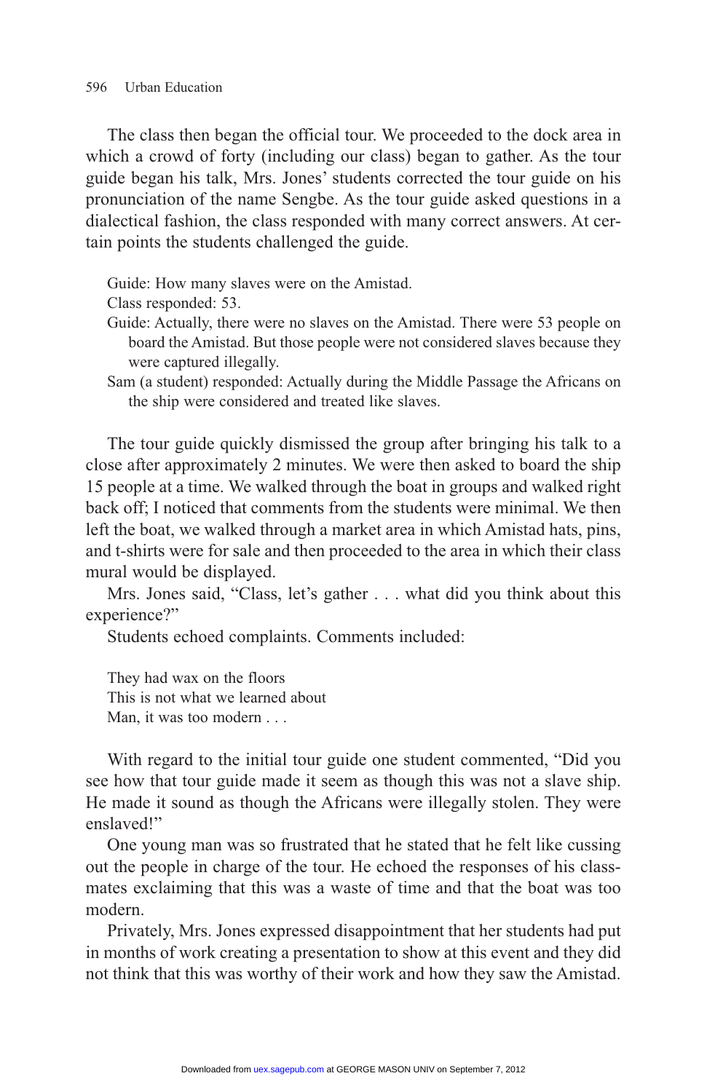The class then began the official tour. We proceeded to the dock area in which a crowd of forty (including our class) began to gather. As the tour guide began his talk, Mrs. Jones' students corrected the tour guide on his pronunciation of the name Sengbe. As the tour guide asked questions in a dialectical fashion, the class responded with many correct answers. At certain points the students challenged the guide.

Guide: How many slaves were on the Amistad.

Class responded: 53.

- Guide: Actually, there were no slaves on the Amistad. There were 53 people on board the Amistad. But those people were not considered slaves because they were captured illegally.
- Sam (a student) responded: Actually during the Middle Passage the Africans on the ship were considered and treated like slaves.

The tour guide quickly dismissed the group after bringing his talk to a close after approximately 2 minutes. We were then asked to board the ship 15 people at a time. We walked through the boat in groups and walked right back off; I noticed that comments from the students were minimal. We then left the boat, we walked through a market area in which Amistad hats, pins, and t-shirts were for sale and then proceeded to the area in which their class mural would be displayed.

Mrs. Jones said, "Class, let's gather . . . what did you think about this experience?"

Students echoed complaints. Comments included:

They had wax on the floors This is not what we learned about Man, it was too modern . . .

With regard to the initial tour guide one student commented, "Did you see how that tour guide made it seem as though this was not a slave ship. He made it sound as though the Africans were illegally stolen. They were enslaved!"

One young man was so frustrated that he stated that he felt like cussing out the people in charge of the tour. He echoed the responses of his classmates exclaiming that this was a waste of time and that the boat was too modern.

Privately, Mrs. Jones expressed disappointment that her students had put in months of work creating a presentation to show at this event and they did not think that this was worthy of their work and how they saw the Amistad.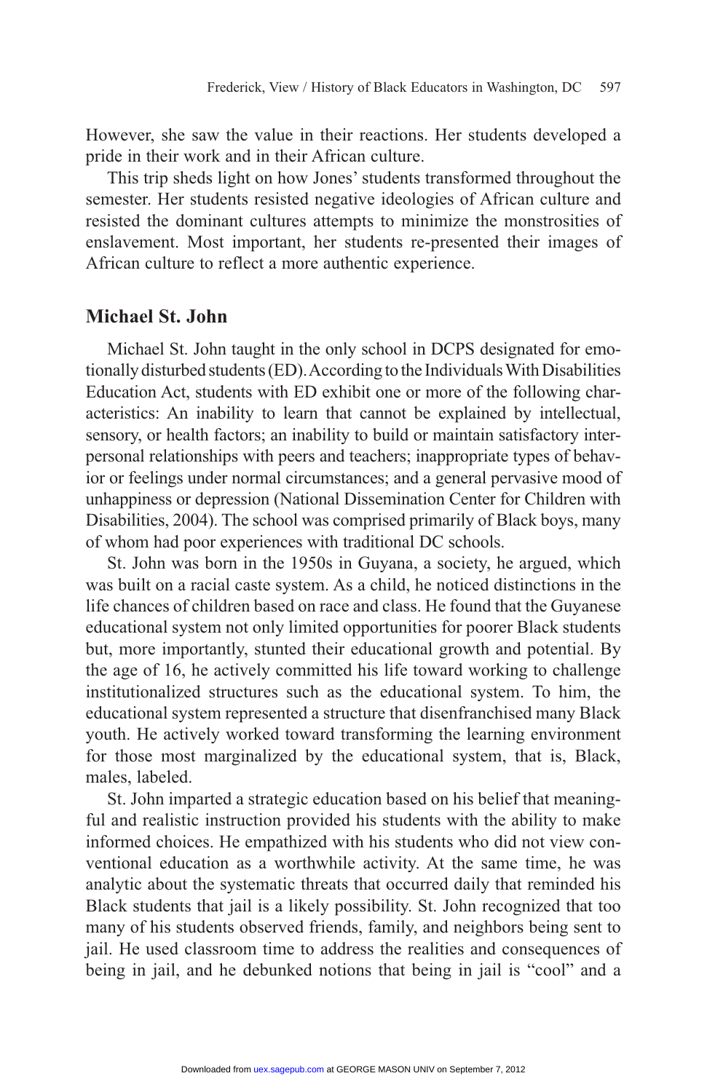However, she saw the value in their reactions. Her students developed a pride in their work and in their African culture.

This trip sheds light on how Jones' students transformed throughout the semester. Her students resisted negative ideologies of African culture and resisted the dominant cultures attempts to minimize the monstrosities of enslavement. Most important, her students re-presented their images of African culture to reflect a more authentic experience.

#### **Michael St. John**

Michael St. John taught in the only school in DCPS designated for emotionally disturbed students (ED). According to the Individuals With Disabilities Education Act, students with ED exhibit one or more of the following characteristics: An inability to learn that cannot be explained by intellectual, sensory, or health factors; an inability to build or maintain satisfactory interpersonal relationships with peers and teachers; inappropriate types of behavior or feelings under normal circumstances; and a general pervasive mood of unhappiness or depression (National Dissemination Center for Children with Disabilities, 2004). The school was comprised primarily of Black boys, many of whom had poor experiences with traditional DC schools.

St. John was born in the 1950s in Guyana, a society, he argued, which was built on a racial caste system. As a child, he noticed distinctions in the life chances of children based on race and class. He found that the Guyanese educational system not only limited opportunities for poorer Black students but, more importantly, stunted their educational growth and potential. By the age of 16, he actively committed his life toward working to challenge institutionalized structures such as the educational system. To him, the educational system represented a structure that disenfranchised many Black youth. He actively worked toward transforming the learning environment for those most marginalized by the educational system, that is, Black, males, labeled.

St. John imparted a strategic education based on his belief that meaningful and realistic instruction provided his students with the ability to make informed choices. He empathized with his students who did not view conventional education as a worthwhile activity. At the same time, he was analytic about the systematic threats that occurred daily that reminded his Black students that jail is a likely possibility. St. John recognized that too many of his students observed friends, family, and neighbors being sent to jail. He used classroom time to address the realities and consequences of being in jail, and he debunked notions that being in jail is "cool" and a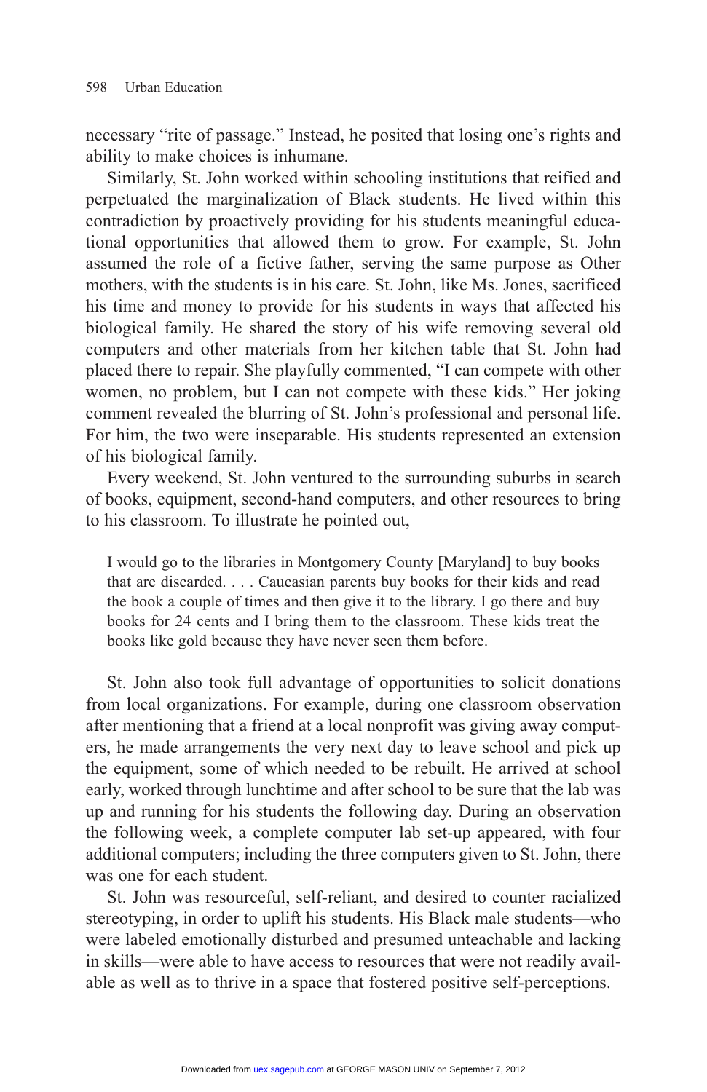necessary "rite of passage." Instead, he posited that losing one's rights and ability to make choices is inhumane.

Similarly, St. John worked within schooling institutions that reified and perpetuated the marginalization of Black students. He lived within this contradiction by proactively providing for his students meaningful educational opportunities that allowed them to grow. For example, St. John assumed the role of a fictive father, serving the same purpose as Other mothers, with the students is in his care. St. John, like Ms. Jones, sacrificed his time and money to provide for his students in ways that affected his biological family. He shared the story of his wife removing several old computers and other materials from her kitchen table that St. John had placed there to repair. She playfully commented, "I can compete with other women, no problem, but I can not compete with these kids." Her joking comment revealed the blurring of St. John's professional and personal life. For him, the two were inseparable. His students represented an extension of his biological family.

Every weekend, St. John ventured to the surrounding suburbs in search of books, equipment, second-hand computers, and other resources to bring to his classroom. To illustrate he pointed out,

I would go to the libraries in Montgomery County [Maryland] to buy books that are discarded. . . . Caucasian parents buy books for their kids and read the book a couple of times and then give it to the library. I go there and buy books for 24 cents and I bring them to the classroom. These kids treat the books like gold because they have never seen them before.

St. John also took full advantage of opportunities to solicit donations from local organizations. For example, during one classroom observation after mentioning that a friend at a local nonprofit was giving away computers, he made arrangements the very next day to leave school and pick up the equipment, some of which needed to be rebuilt. He arrived at school early, worked through lunchtime and after school to be sure that the lab was up and running for his students the following day. During an observation the following week, a complete computer lab set-up appeared, with four additional computers; including the three computers given to St. John, there was one for each student.

St. John was resourceful, self-reliant, and desired to counter racialized stereotyping, in order to uplift his students. His Black male students—who were labeled emotionally disturbed and presumed unteachable and lacking in skills—were able to have access to resources that were not readily available as well as to thrive in a space that fostered positive self-perceptions.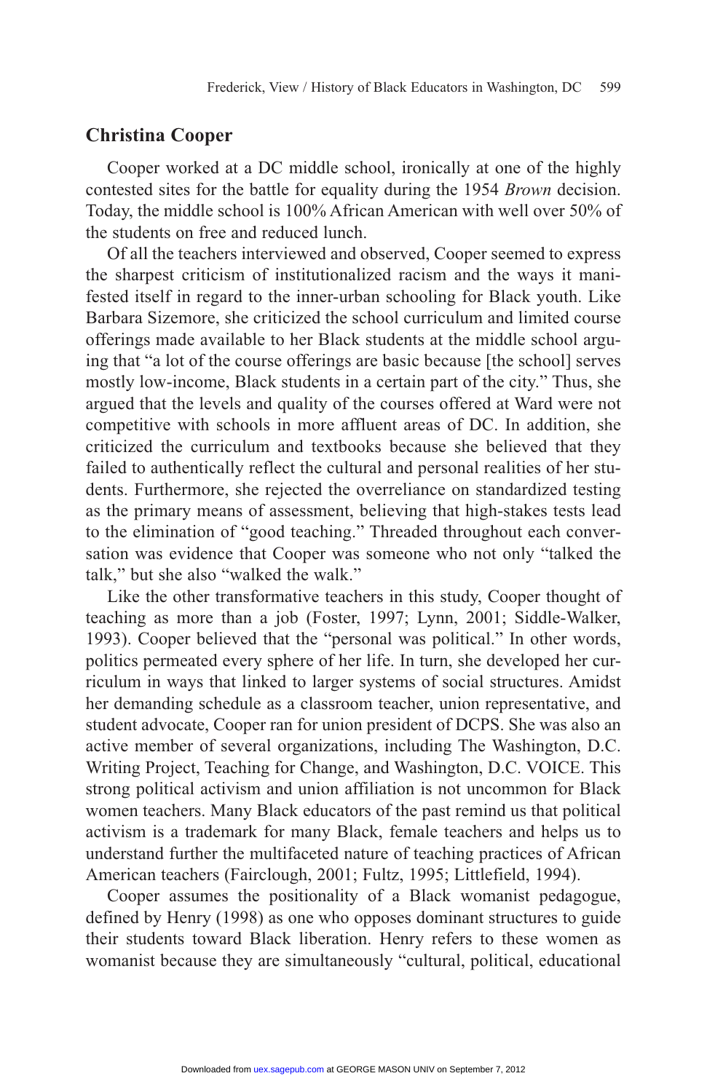#### **Christina Cooper**

Cooper worked at a DC middle school, ironically at one of the highly contested sites for the battle for equality during the 1954 *Brown* decision. Today, the middle school is 100% African American with well over 50% of the students on free and reduced lunch.

Of all the teachers interviewed and observed, Cooper seemed to express the sharpest criticism of institutionalized racism and the ways it manifested itself in regard to the inner-urban schooling for Black youth. Like Barbara Sizemore, she criticized the school curriculum and limited course offerings made available to her Black students at the middle school arguing that "a lot of the course offerings are basic because [the school] serves mostly low-income, Black students in a certain part of the city." Thus, she argued that the levels and quality of the courses offered at Ward were not competitive with schools in more affluent areas of DC. In addition, she criticized the curriculum and textbooks because she believed that they failed to authentically reflect the cultural and personal realities of her students. Furthermore, she rejected the overreliance on standardized testing as the primary means of assessment, believing that high-stakes tests lead to the elimination of "good teaching." Threaded throughout each conversation was evidence that Cooper was someone who not only "talked the talk," but she also "walked the walk."

Like the other transformative teachers in this study, Cooper thought of teaching as more than a job (Foster, 1997; Lynn, 2001; Siddle-Walker, 1993). Cooper believed that the "personal was political." In other words, politics permeated every sphere of her life. In turn, she developed her curriculum in ways that linked to larger systems of social structures. Amidst her demanding schedule as a classroom teacher, union representative, and student advocate, Cooper ran for union president of DCPS. She was also an active member of several organizations, including The Washington, D.C. Writing Project, Teaching for Change, and Washington, D.C. VOICE. This strong political activism and union affiliation is not uncommon for Black women teachers. Many Black educators of the past remind us that political activism is a trademark for many Black, female teachers and helps us to understand further the multifaceted nature of teaching practices of African American teachers (Fairclough, 2001; Fultz, 1995; Littlefield, 1994).

Cooper assumes the positionality of a Black womanist pedagogue, defined by Henry (1998) as one who opposes dominant structures to guide their students toward Black liberation. Henry refers to these women as womanist because they are simultaneously "cultural, political, educational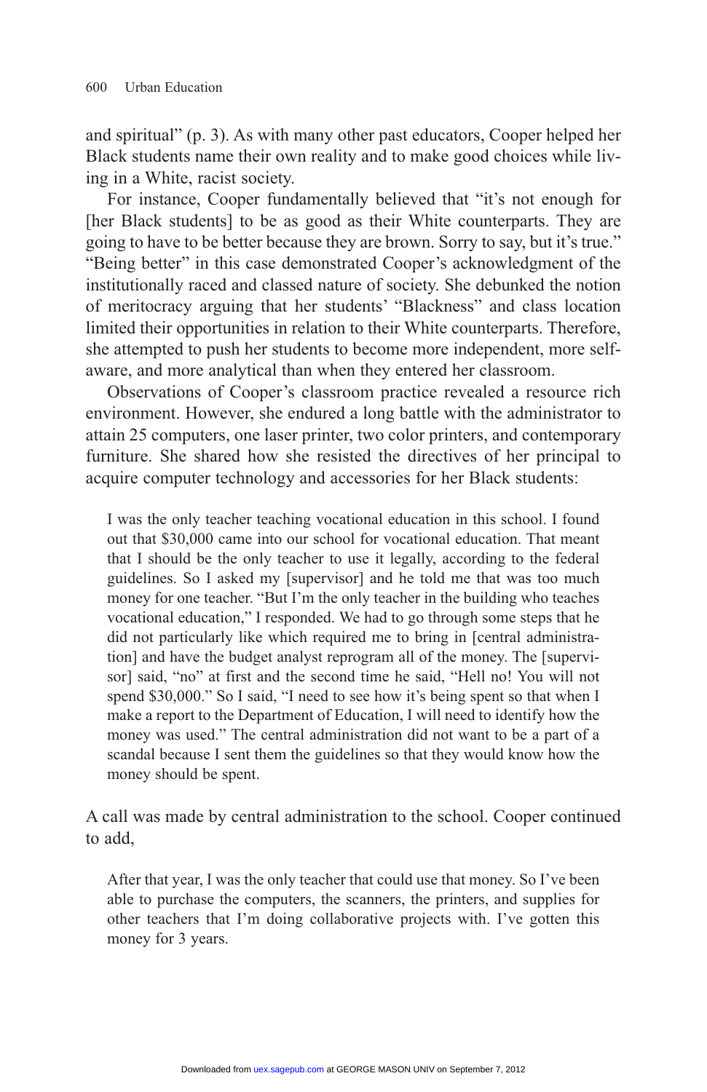and spiritual" (p. 3). As with many other past educators, Cooper helped her Black students name their own reality and to make good choices while living in a White, racist society.

For instance, Cooper fundamentally believed that "it's not enough for [her Black students] to be as good as their White counterparts. They are going to have to be better because they are brown. Sorry to say, but it's true." "Being better" in this case demonstrated Cooper's acknowledgment of the institutionally raced and classed nature of society. She debunked the notion of meritocracy arguing that her students' "Blackness" and class location limited their opportunities in relation to their White counterparts. Therefore, she attempted to push her students to become more independent, more selfaware, and more analytical than when they entered her classroom.

Observations of Cooper's classroom practice revealed a resource rich environment. However, she endured a long battle with the administrator to attain 25 computers, one laser printer, two color printers, and contemporary furniture. She shared how she resisted the directives of her principal to acquire computer technology and accessories for her Black students:

I was the only teacher teaching vocational education in this school. I found out that \$30,000 came into our school for vocational education. That meant that I should be the only teacher to use it legally, according to the federal guidelines. So I asked my [supervisor] and he told me that was too much money for one teacher. "But I'm the only teacher in the building who teaches vocational education," I responded. We had to go through some steps that he did not particularly like which required me to bring in [central administration] and have the budget analyst reprogram all of the money. The [supervisor] said, "no" at first and the second time he said, "Hell no! You will not spend \$30,000." So I said, "I need to see how it's being spent so that when I make a report to the Department of Education, I will need to identify how the money was used." The central administration did not want to be a part of a scandal because I sent them the guidelines so that they would know how the money should be spent.

A call was made by central administration to the school. Cooper continued to add,

After that year, I was the only teacher that could use that money. So I've been able to purchase the computers, the scanners, the printers, and supplies for other teachers that I'm doing collaborative projects with. I've gotten this money for 3 years.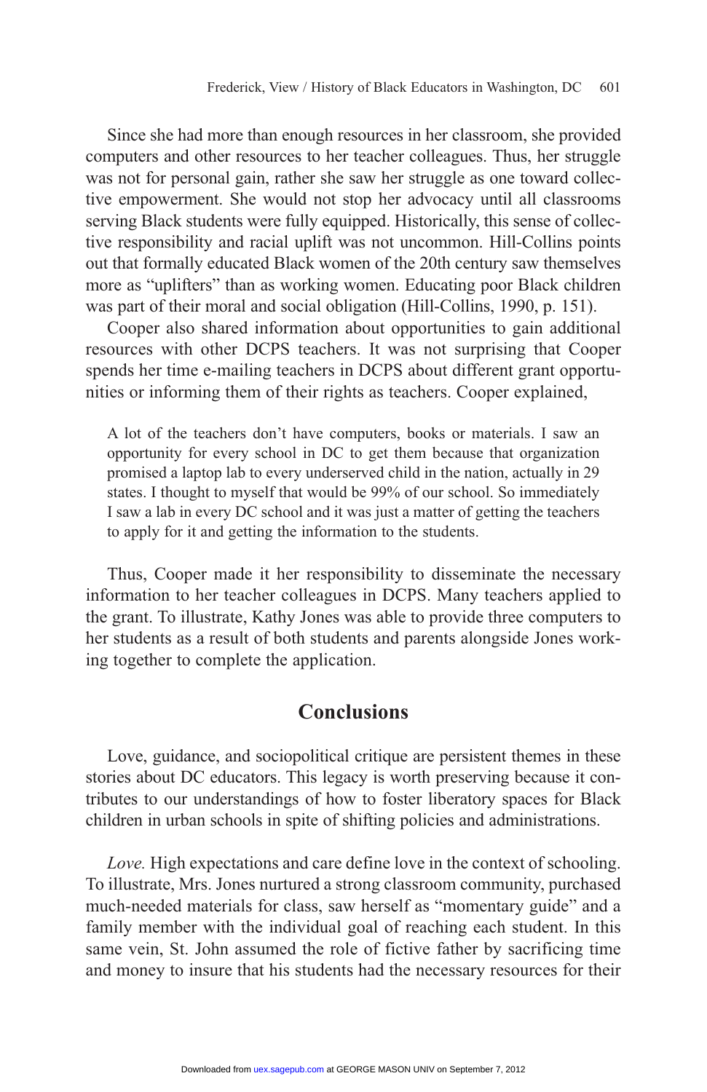Since she had more than enough resources in her classroom, she provided computers and other resources to her teacher colleagues. Thus, her struggle was not for personal gain, rather she saw her struggle as one toward collective empowerment. She would not stop her advocacy until all classrooms serving Black students were fully equipped. Historically, this sense of collective responsibility and racial uplift was not uncommon. Hill-Collins points out that formally educated Black women of the 20th century saw themselves more as "uplifters" than as working women. Educating poor Black children was part of their moral and social obligation (Hill-Collins, 1990, p. 151).

Cooper also shared information about opportunities to gain additional resources with other DCPS teachers. It was not surprising that Cooper spends her time e-mailing teachers in DCPS about different grant opportunities or informing them of their rights as teachers. Cooper explained,

A lot of the teachers don't have computers, books or materials. I saw an opportunity for every school in DC to get them because that organization promised a laptop lab to every underserved child in the nation, actually in 29 states. I thought to myself that would be 99% of our school. So immediately I saw a lab in every DC school and it was just a matter of getting the teachers to apply for it and getting the information to the students.

Thus, Cooper made it her responsibility to disseminate the necessary information to her teacher colleagues in DCPS. Many teachers applied to the grant. To illustrate, Kathy Jones was able to provide three computers to her students as a result of both students and parents alongside Jones working together to complete the application.

#### **Conclusions**

Love, guidance, and sociopolitical critique are persistent themes in these stories about DC educators. This legacy is worth preserving because it contributes to our understandings of how to foster liberatory spaces for Black children in urban schools in spite of shifting policies and administrations.

*Love.* High expectations and care define love in the context of schooling. To illustrate, Mrs. Jones nurtured a strong classroom community, purchased much-needed materials for class, saw herself as "momentary guide" and a family member with the individual goal of reaching each student. In this same vein, St. John assumed the role of fictive father by sacrificing time and money to insure that his students had the necessary resources for their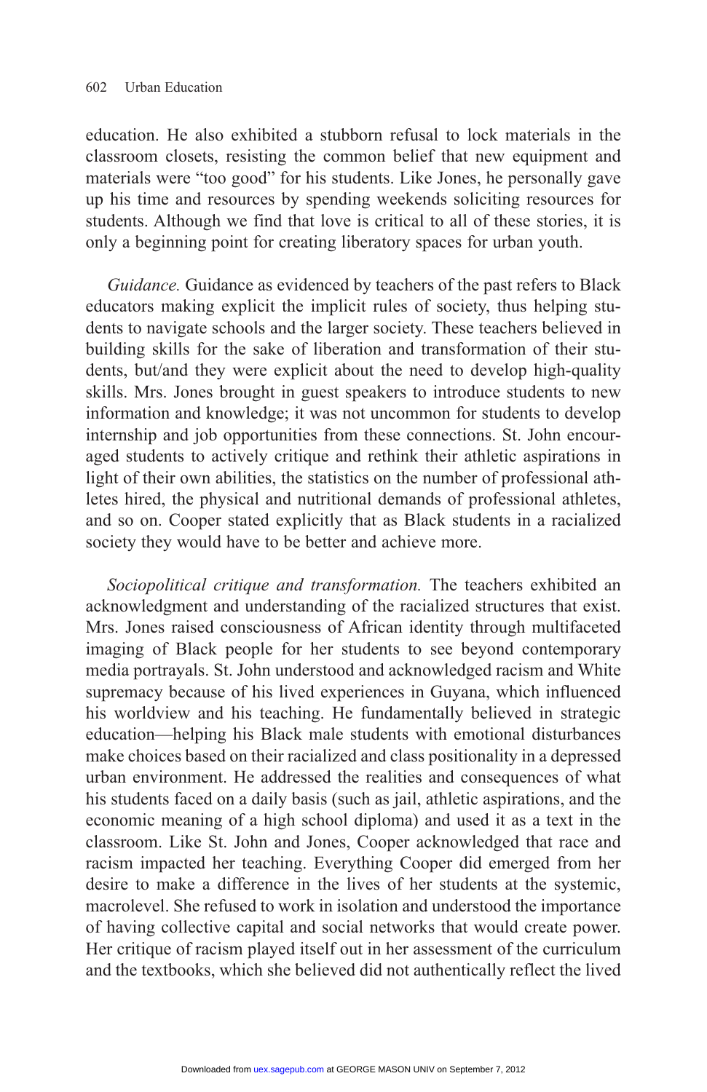education. He also exhibited a stubborn refusal to lock materials in the classroom closets, resisting the common belief that new equipment and materials were "too good" for his students. Like Jones, he personally gave up his time and resources by spending weekends soliciting resources for students. Although we find that love is critical to all of these stories, it is only a beginning point for creating liberatory spaces for urban youth.

*Guidance.* Guidance as evidenced by teachers of the past refers to Black educators making explicit the implicit rules of society, thus helping students to navigate schools and the larger society. These teachers believed in building skills for the sake of liberation and transformation of their students, but/and they were explicit about the need to develop high-quality skills. Mrs. Jones brought in guest speakers to introduce students to new information and knowledge; it was not uncommon for students to develop internship and job opportunities from these connections. St. John encouraged students to actively critique and rethink their athletic aspirations in light of their own abilities, the statistics on the number of professional athletes hired, the physical and nutritional demands of professional athletes, and so on. Cooper stated explicitly that as Black students in a racialized society they would have to be better and achieve more.

*Sociopolitical critique and transformation.* The teachers exhibited an acknowledgment and understanding of the racialized structures that exist. Mrs. Jones raised consciousness of African identity through multifaceted imaging of Black people for her students to see beyond contemporary media portrayals. St. John understood and acknowledged racism and White supremacy because of his lived experiences in Guyana, which influenced his worldview and his teaching. He fundamentally believed in strategic education—helping his Black male students with emotional disturbances make choices based on their racialized and class positionality in a depressed urban environment. He addressed the realities and consequences of what his students faced on a daily basis (such as jail, athletic aspirations, and the economic meaning of a high school diploma) and used it as a text in the classroom. Like St. John and Jones, Cooper acknowledged that race and racism impacted her teaching. Everything Cooper did emerged from her desire to make a difference in the lives of her students at the systemic, macrolevel. She refused to work in isolation and understood the importance of having collective capital and social networks that would create power. Her critique of racism played itself out in her assessment of the curriculum and the textbooks, which she believed did not authentically reflect the lived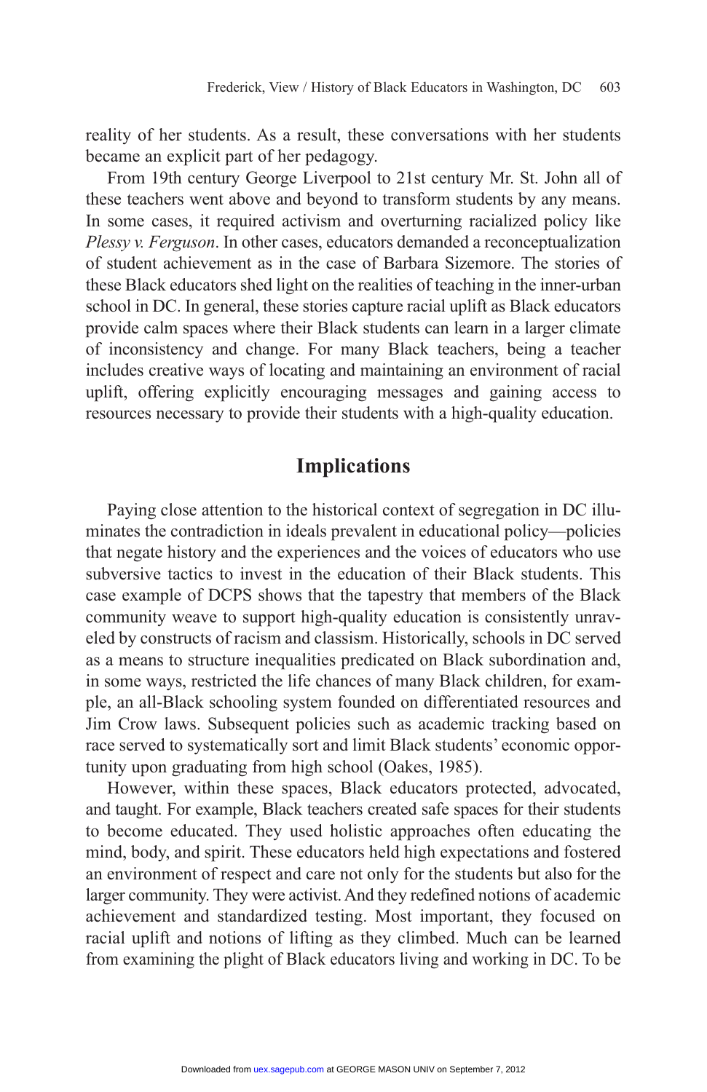reality of her students. As a result, these conversations with her students became an explicit part of her pedagogy.

From 19th century George Liverpool to 21st century Mr. St. John all of these teachers went above and beyond to transform students by any means. In some cases, it required activism and overturning racialized policy like *Plessy v. Ferguson*. In other cases, educators demanded a reconceptualization of student achievement as in the case of Barbara Sizemore. The stories of these Black educators shed light on the realities of teaching in the inner-urban school in DC. In general, these stories capture racial uplift as Black educators provide calm spaces where their Black students can learn in a larger climate of inconsistency and change. For many Black teachers, being a teacher includes creative ways of locating and maintaining an environment of racial uplift, offering explicitly encouraging messages and gaining access to resources necessary to provide their students with a high-quality education.

#### **Implications**

Paying close attention to the historical context of segregation in DC illuminates the contradiction in ideals prevalent in educational policy—policies that negate history and the experiences and the voices of educators who use subversive tactics to invest in the education of their Black students. This case example of DCPS shows that the tapestry that members of the Black community weave to support high-quality education is consistently unraveled by constructs of racism and classism. Historically, schools in DC served as a means to structure inequalities predicated on Black subordination and, in some ways, restricted the life chances of many Black children, for example, an all-Black schooling system founded on differentiated resources and Jim Crow laws. Subsequent policies such as academic tracking based on race served to systematically sort and limit Black students' economic opportunity upon graduating from high school (Oakes, 1985).

However, within these spaces, Black educators protected, advocated, and taught. For example, Black teachers created safe spaces for their students to become educated. They used holistic approaches often educating the mind, body, and spirit. These educators held high expectations and fostered an environment of respect and care not only for the students but also for the larger community. They were activist. And they redefined notions of academic achievement and standardized testing. Most important, they focused on racial uplift and notions of lifting as they climbed. Much can be learned from examining the plight of Black educators living and working in DC. To be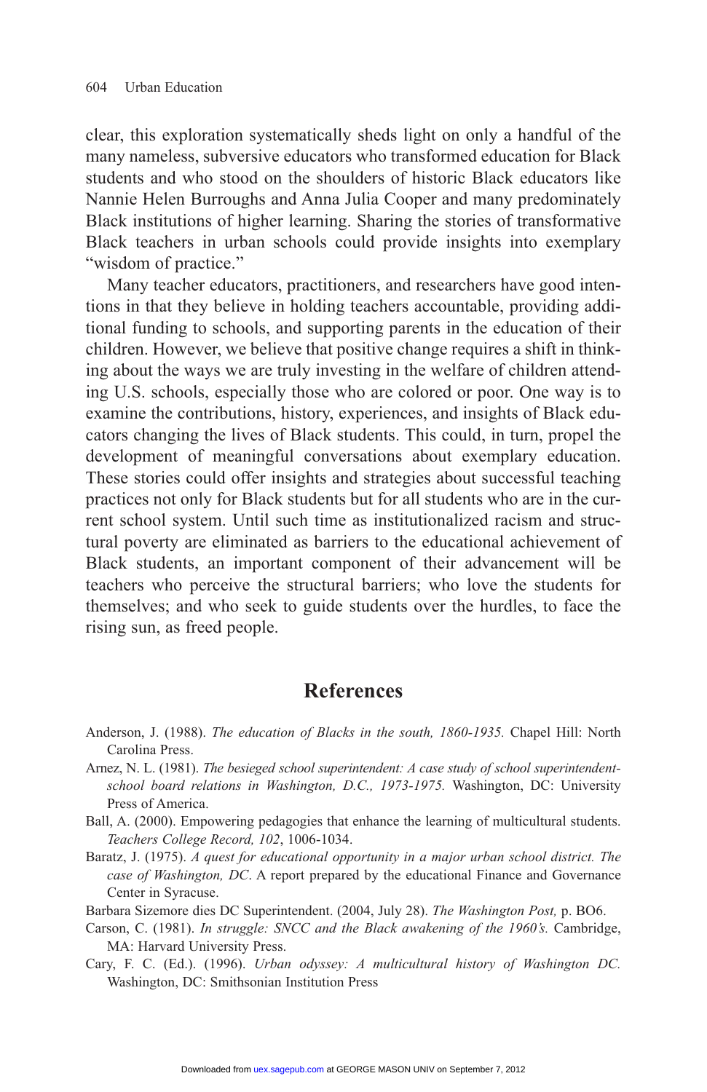clear, this exploration systematically sheds light on only a handful of the many nameless, subversive educators who transformed education for Black students and who stood on the shoulders of historic Black educators like Nannie Helen Burroughs and Anna Julia Cooper and many predominately Black institutions of higher learning. Sharing the stories of transformative Black teachers in urban schools could provide insights into exemplary "wisdom of practice."

Many teacher educators, practitioners, and researchers have good intentions in that they believe in holding teachers accountable, providing additional funding to schools, and supporting parents in the education of their children. However, we believe that positive change requires a shift in thinking about the ways we are truly investing in the welfare of children attending U.S. schools, especially those who are colored or poor. One way is to examine the contributions, history, experiences, and insights of Black educators changing the lives of Black students. This could, in turn, propel the development of meaningful conversations about exemplary education. These stories could offer insights and strategies about successful teaching practices not only for Black students but for all students who are in the current school system. Until such time as institutionalized racism and structural poverty are eliminated as barriers to the educational achievement of Black students, an important component of their advancement will be teachers who perceive the structural barriers; who love the students for themselves; and who seek to guide students over the hurdles, to face the rising sun, as freed people.

#### **References**

- Arnez, N. L. (1981). *The besieged school superintendent: A case study of school superintendentschool board relations in Washington, D.C., 1973-1975.* Washington, DC: University Press of America.
- Ball, A. (2000). Empowering pedagogies that enhance the learning of multicultural students. *Teachers College Record, 102*, 1006-1034.
- Baratz, J. (1975). *A quest for educational opportunity in a major urban school district. The case of Washington, DC*. A report prepared by the educational Finance and Governance Center in Syracuse.
- Barbara Sizemore dies DC Superintendent. (2004, July 28). *The Washington Post,* p. BO6.
- Carson, C. (1981). *In struggle: SNCC and the Black awakening of the 1960's.* Cambridge, MA: Harvard University Press.
- Cary, F. C. (Ed.). (1996). *Urban odyssey: A multicultural history of Washington DC.*  Washington, DC: Smithsonian Institution Press

Anderson, J. (1988). *The education of Blacks in the south, 1860-1935.* Chapel Hill: North Carolina Press.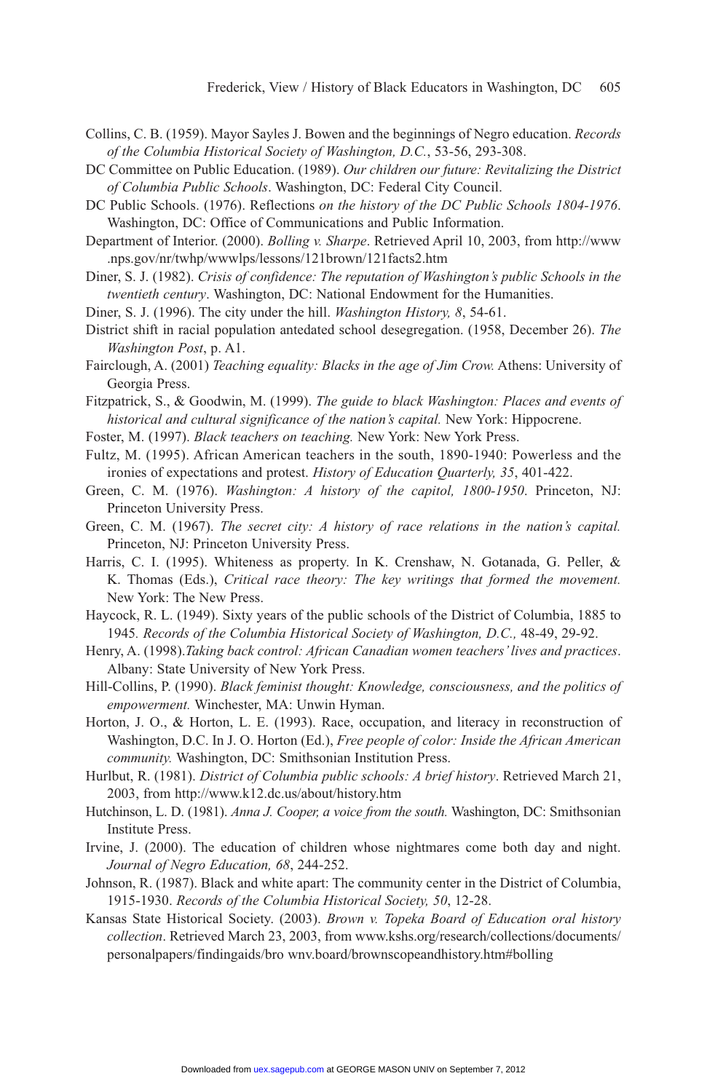- Collins, C. B. (1959). Mayor Sayles J. Bowen and the beginnings of Negro education. *Records of the Columbia Historical Society of Washington, D.C.*, 53-56, 293-308.
- DC Committee on Public Education. (1989). *Our children our future: Revitalizing the District of Columbia Public Schools*. Washington, DC: Federal City Council.
- DC Public Schools. (1976). Reflections *on the history of the DC Public Schools 1804-1976*. Washington, DC: Office of Communications and Public Information.
- Department of Interior. (2000). *Bolling v. Sharpe*. Retrieved April 10, 2003, from http://www .nps.gov/nr/twhp/wwwlps/lessons/121brown/121facts2.htm
- Diner, S. J. (1982). *Crisis of confidence: The reputation of Washington's public Schools in the twentieth century*. Washington, DC: National Endowment for the Humanities.
- Diner, S. J. (1996). The city under the hill. *Washington History, 8*, 54-61.
- District shift in racial population antedated school desegregation. (1958, December 26). *The Washington Post*, p. A1.
- Fairclough, A. (2001) *Teaching equality: Blacks in the age of Jim Crow.* Athens: University of Georgia Press.
- Fitzpatrick, S., & Goodwin, M. (1999). *The guide to black Washington: Places and events of historical and cultural significance of the nation's capital.* New York: Hippocrene.
- Foster, M. (1997). *Black teachers on teaching.* New York: New York Press.
- Fultz, M. (1995). African American teachers in the south, 1890-1940: Powerless and the ironies of expectations and protest. *History of Education Quarterly, 35*, 401-422.
- Green, C. M. (1976). *Washington: A history of the capitol, 1800-1950*. Princeton, NJ: Princeton University Press.
- Green, C. M. (1967). *The secret city: A history of race relations in the nation's capital.* Princeton, NJ: Princeton University Press.
- Harris, C. I. (1995). Whiteness as property. In K. Crenshaw, N. Gotanada, G. Peller, & K. Thomas (Eds.), *Critical race theory: The key writings that formed the movement.*  New York: The New Press.
- Haycock, R. L. (1949). Sixty years of the public schools of the District of Columbia, 1885 to 1945*. Records of the Columbia Historical Society of Washington, D.C.,* 48-49, 29-92.
- Henry, A. (1998).*Taking back control: African Canadian women teachers' lives and practices*. Albany: State University of New York Press.
- Hill-Collins, P. (1990). *Black feminist thought: Knowledge, consciousness, and the politics of empowerment.* Winchester, MA: Unwin Hyman.
- Horton, J. O., & Horton, L. E. (1993). Race, occupation, and literacy in reconstruction of Washington, D.C. In J. O. Horton (Ed.), *Free people of color: Inside the African American community.* Washington, DC: Smithsonian Institution Press.
- Hurlbut, R. (1981). *District of Columbia public schools: A brief history*. Retrieved March 21, 2003, from http://www.k12.dc.us/about/history.htm
- Hutchinson, L. D. (1981). *Anna J. Cooper, a voice from the south.* Washington, DC: Smithsonian Institute Press.
- Irvine, J. (2000). The education of children whose nightmares come both day and night. *Journal of Negro Education, 68*, 244-252.
- Johnson, R. (1987). Black and white apart: The community center in the District of Columbia, 1915-1930. *Records of the Columbia Historical Society, 50*, 12-28.
- Kansas State Historical Society. (2003). *Brown v. Topeka Board of Education oral history collection*. Retrieved March 23, 2003, from www.kshs.org/research/collections/documents/ personalpapers/findingaids/bro wnv.board/brownscopeandhistory.htm#bolling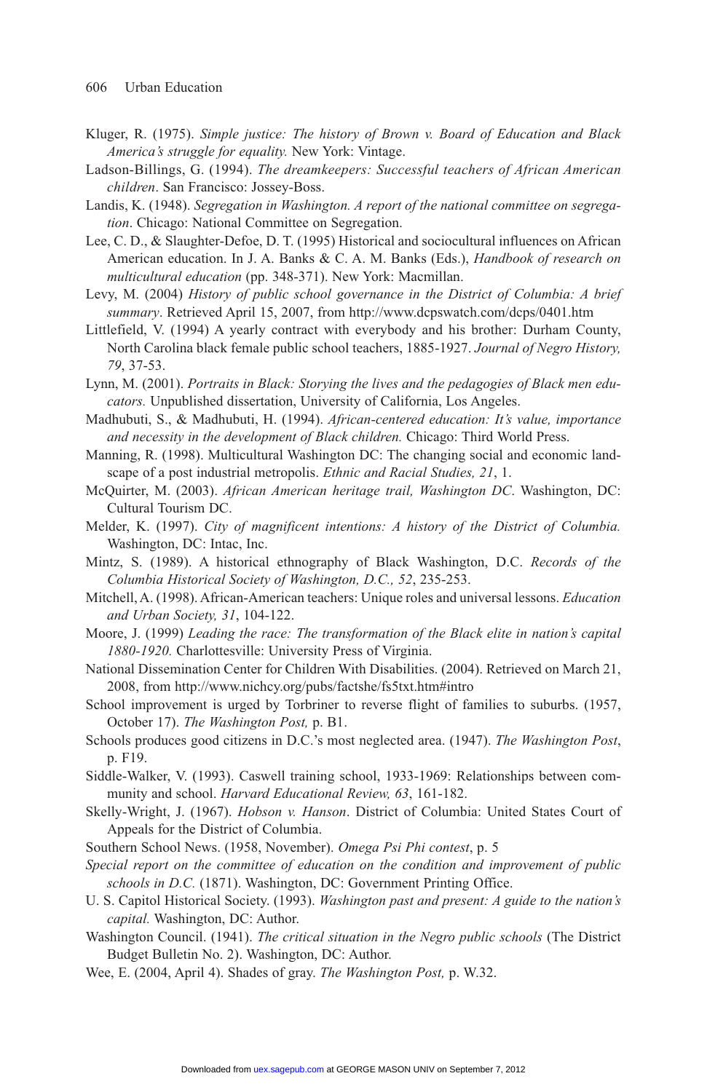- Kluger, R. (1975). *Simple justice: The history of Brown v. Board of Education and Black America's struggle for equality.* New York: Vintage.
- Ladson-Billings, G. (1994). *The dreamkeepers: Successful teachers of African American children*. San Francisco: Jossey-Boss.
- Landis, K. (1948). *Segregation in Washington. A report of the national committee on segregation*. Chicago: National Committee on Segregation.
- Lee, C. D., & Slaughter-Defoe, D. T. (1995) Historical and sociocultural influences on African American education. In J. A. Banks & C. A. M. Banks (Eds.), *Handbook of research on multicultural education* (pp. 348-371). New York: Macmillan.
- Levy, M. (2004) *History of public school governance in the District of Columbia: A brief summary*. Retrieved April 15, 2007, from http://www.dcpswatch.com/dcps/0401.htm
- Littlefield, V. (1994) A yearly contract with everybody and his brother: Durham County, North Carolina black female public school teachers, 1885-1927. *Journal of Negro History, 79*, 37-53.
- Lynn, M. (2001). *Portraits in Black: Storying the lives and the pedagogies of Black men educators.* Unpublished dissertation, University of California, Los Angeles.
- Madhubuti, S., & Madhubuti, H. (1994). *African-centered education: It's value, importance and necessity in the development of Black children.* Chicago: Third World Press.
- Manning, R. (1998). Multicultural Washington DC: The changing social and economic landscape of a post industrial metropolis. *Ethnic and Racial Studies, 21*, 1.
- McQuirter, M. (2003). *African American heritage trail, Washington DC*. Washington, DC: Cultural Tourism DC.
- Melder, K. (1997). *City of magnificent intentions: A history of the District of Columbia.*  Washington, DC: Intac, Inc.
- Mintz, S. (1989). A historical ethnography of Black Washington, D.C. *Records of the Columbia Historical Society of Washington, D.C., 52*, 235-253.
- Mitchell, A. (1998). African-American teachers: Unique roles and universal lessons. *Education and Urban Society, 31*, 104-122.
- Moore, J. (1999) *Leading the race: The transformation of the Black elite in nation's capital 1880-1920.* Charlottesville: University Press of Virginia.
- National Dissemination Center for Children With Disabilities. (2004). Retrieved on March 21, 2008, from http://www.nichcy.org/pubs/factshe/fs5txt.htm#intro
- School improvement is urged by Torbriner to reverse flight of families to suburbs. (1957, October 17). *The Washington Post,* p. B1.
- Schools produces good citizens in D.C.'s most neglected area. (1947). *The Washington Post*, p. F19.
- Siddle-Walker, V. (1993). Caswell training school, 1933-1969: Relationships between community and school. *Harvard Educational Review, 63*, 161-182.
- Skelly-Wright, J. (1967). *Hobson v. Hanson*. District of Columbia: United States Court of Appeals for the District of Columbia.
- Southern School News. (1958, November). *Omega Psi Phi contest*, p. 5
- *Special report on the committee of education on the condition and improvement of public schools in D.C.* (1871). Washington, DC: Government Printing Office.
- U. S. Capitol Historical Society. (1993). *Washington past and present: A guide to the nation's capital.* Washington, DC: Author.
- Washington Council. (1941). *The critical situation in the Negro public schools* (The District Budget Bulletin No. 2). Washington, DC: Author.
- Wee, E. (2004, April 4). Shades of gray. *The Washington Post,* p. W.32.